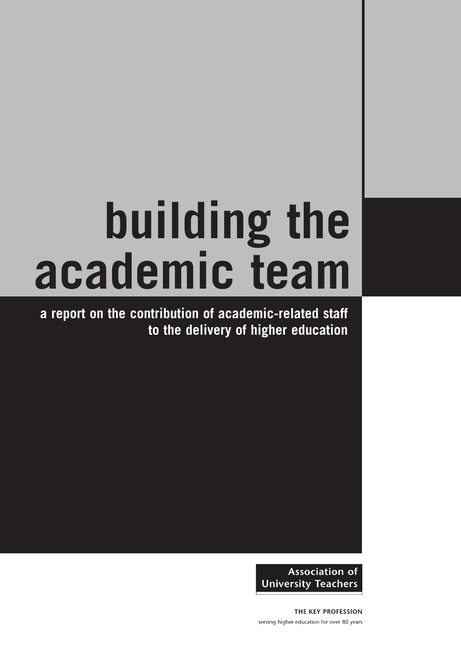# **building the academic team**

**a report on the contribution of academic-related staff to the delivery of higher education**

> **Association of University Teachers**

THE KEY PROFESSION serving higher education for over 80 years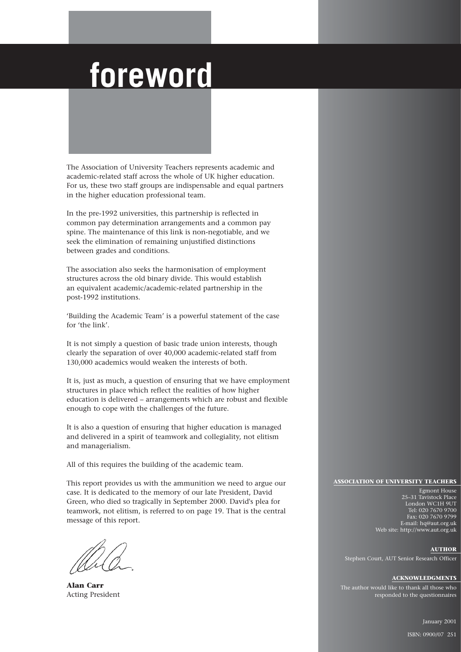### **foreword**

The Association of University Teachers represents academic and academic-related staff across the whole of UK higher education. For us, these two staff groups are indispensable and equal partners in the higher education professional team.

In the pre-1992 universities, this partnership is reflected in common pay determination arrangements and a common pay spine. The maintenance of this link is non-negotiable, and we seek the elimination of remaining unjustified distinctions between grades and conditions.

The association also seeks the harmonisation of employment structures across the old binary divide. This would establish an equivalent academic/academic-related partnership in the post-1992 institutions.

'Building the Academic Team' is a powerful statement of the case for 'the link'.

It is not simply a question of basic trade union interests, though clearly the separation of over 40,000 academic-related staff from 130,000 academics would weaken the interests of both.

It is, just as much, a question of ensuring that we have employment structures in place which reflect the realities of how higher education is delivered – arrangements which are robust and flexible enough to cope with the challenges of the future.

It is also a question of ensuring that higher education is managed and delivered in a spirit of teamwork and collegiality, not elitism and managerialism.

All of this requires the building of the academic team.

This report provides us with the ammunition we need to argue our case. It is dedicated to the memory of our late President, David Green, who died so tragically in September 2000. David's plea for teamwork, not elitism, is referred to on page 19. That is the central message of this report.

**Alan Carr** Acting President

#### **ASSOCIATION OF UNIVERSITY TEACHERS**

Egmont House 25–31 Tavistock Place London WC1H 9UT Tel: 020 7670 9700 Fax: 020 7670 9799 E-mail: hq@aut.org.uk Web site: http://www.aut.org.uk

#### **AUTHOR**

Stephen Court, AUT Senior Research Officer

#### **ACKNOWLEDGMENTS**

The author would like to thank all those who responded to the questionnaires

January 2001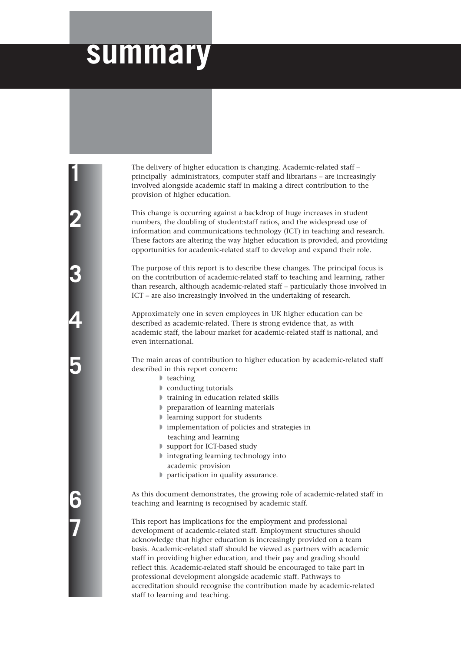### **summary**

The delivery of higher education is changing. Academic-related staff – principally administrators, computer staff and librarians – are increasingly involved alongside academic staff in making a direct contribution to the provision of higher education.

This change is occurring against a backdrop of huge increases in student numbers, the doubling of student:staff ratios, and the widespread use of information and communications technology (ICT) in teaching and research. These factors are altering the way higher education is provided, and providing opportunities for academic-related staff to develop and expand their role.

The purpose of this report is to describe these changes. The principal focus is on the contribution of academic-related staff to teaching and learning, rather than research, although academic-related staff – particularly those involved in ICT – are also increasingly involved in the undertaking of research.

Approximately one in seven employees in UK higher education can be described as academic-related. There is strong evidence that, as with academic staff, the labour market for academic-related staff is national, and even international.

The main areas of contribution to higher education by academic-related staff described in this report concern:

- ◗ teaching
- ◗ conducting tutorials
- ◗ training in education related skills
- ◗ preparation of learning materials
- ◗ learning support for students
- ◗ implementation of policies and strategies in teaching and learning
- ◗ support for ICT-based study
- ◗ integrating learning technology into academic provision
- ◗ participation in quality assurance.

As this document demonstrates, the growing role of academic-related staff in teaching and learning is recognised by academic staff.

This report has implications for the employment and professional development of academic-related staff. Employment structures should acknowledge that higher education is increasingly provided on a team basis. Academic-related staff should be viewed as partners with academic staff in providing higher education, and their pay and grading should reflect this. Academic-related staff should be encouraged to take part in professional development alongside academic staff. Pathways to accreditation should recognise the contribution made by academic-related staff to learning and teaching.

**1**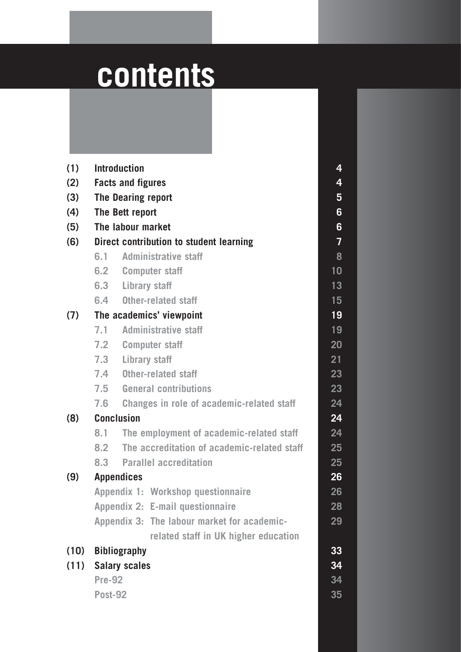## **contents**

| (1)  |                                                         | <b>Introduction</b>                         | 4  |  |  |  |  |  |  |  |
|------|---------------------------------------------------------|---------------------------------------------|----|--|--|--|--|--|--|--|
| (2)  | <b>Facts and figures</b>                                |                                             |    |  |  |  |  |  |  |  |
| (3)  | The Dearing report                                      |                                             |    |  |  |  |  |  |  |  |
| (4)  | The Bett report                                         |                                             |    |  |  |  |  |  |  |  |
| (5)  | The labour market                                       |                                             |    |  |  |  |  |  |  |  |
| (6)  | Direct contribution to student learning                 |                                             |    |  |  |  |  |  |  |  |
|      | <b>Administrative staff</b><br>6.1                      |                                             |    |  |  |  |  |  |  |  |
|      |                                                         | 6.2 Computer staff                          | 10 |  |  |  |  |  |  |  |
|      |                                                         | 6.3 Library staff                           | 13 |  |  |  |  |  |  |  |
|      |                                                         | 6.4 Other-related staff                     |    |  |  |  |  |  |  |  |
|      |                                                         | (7) The academics' viewpoint                | 19 |  |  |  |  |  |  |  |
|      | 7.1                                                     | <b>Administrative staff</b>                 |    |  |  |  |  |  |  |  |
|      |                                                         | 7.2 Computer staff                          |    |  |  |  |  |  |  |  |
|      |                                                         | 7.3 Library staff                           |    |  |  |  |  |  |  |  |
|      |                                                         | 7.4 Other-related staff                     |    |  |  |  |  |  |  |  |
|      |                                                         | 7.5 General contributions                   |    |  |  |  |  |  |  |  |
|      | 7.6<br><b>Changes in role of academic-related staff</b> |                                             |    |  |  |  |  |  |  |  |
| (8)  |                                                         | <b>Conclusion</b>                           | 24 |  |  |  |  |  |  |  |
|      | 8.1                                                     | The employment of academic-related staff    |    |  |  |  |  |  |  |  |
|      | 8.2                                                     | The accreditation of academic-related staff |    |  |  |  |  |  |  |  |
|      |                                                         | 8.3 Parallel accreditation                  |    |  |  |  |  |  |  |  |
| (9)  |                                                         | <b>Appendices</b>                           | 26 |  |  |  |  |  |  |  |
|      |                                                         | Appendix 1: Workshop questionnaire          | 26 |  |  |  |  |  |  |  |
|      |                                                         | Appendix 2: E-mail questionnaire            | 28 |  |  |  |  |  |  |  |
|      |                                                         | Appendix 3: The labour market for academic- | 29 |  |  |  |  |  |  |  |
|      |                                                         | related staff in UK higher education        |    |  |  |  |  |  |  |  |
| (10) |                                                         | <b>Bibliography</b>                         | 33 |  |  |  |  |  |  |  |
| (11) | <b>Salary scales</b>                                    |                                             |    |  |  |  |  |  |  |  |
|      | <b>Pre-92</b>                                           |                                             |    |  |  |  |  |  |  |  |
|      | <b>Post-92</b>                                          |                                             |    |  |  |  |  |  |  |  |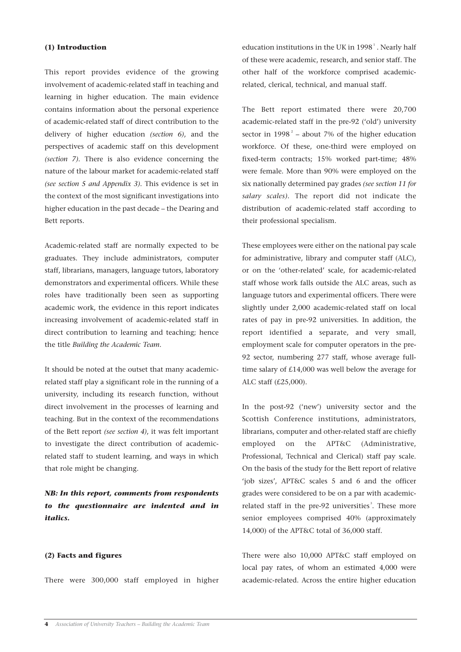#### **(1) Introduction**

This report provides evidence of the growing involvement of academic-related staff in teaching and learning in higher education. The main evidence contains information about the personal experience of academic-related staff of direct contribution to the delivery of higher education *(section 6)*, and the perspectives of academic staff on this development *(section 7)*. There is also evidence concerning the nature of the labour market for academic-related staff *(see section 5 and Appendix 3)*. This evidence is set in the context of the most significant investigations into higher education in the past decade – the Dearing and Bett reports.

Academic-related staff are normally expected to be graduates. They include administrators, computer staff, librarians, managers, language tutors, laboratory demonstrators and experimental officers. While these roles have traditionally been seen as supporting academic work, the evidence in this report indicates increasing involvement of academic-related staff in direct contribution to learning and teaching; hence the title *Building the Academic Team*.

It should be noted at the outset that many academicrelated staff play a significant role in the running of a university, including its research function, without direct involvement in the processes of learning and teaching. But in the context of the recommendations of the Bett report *(see section 4)*, it was felt important to investigate the direct contribution of academicrelated staff to student learning, and ways in which that role might be changing.

*NB: In this report, comments from respondents to the questionnaire are indented and in italics.*

#### **(2) Facts and figures**

There were 300,000 staff employed in higher

education institutions in the UK in  $1998<sup>1</sup>$ . Nearly half of these were academic, research, and senior staff. The other half of the workforce comprised academicrelated, clerical, technical, and manual staff.

The Bett report estimated there were 20,700 academic-related staff in the pre-92 ('old') university sector in  $1998^2$  – about 7% of the higher education workforce. Of these, one-third were employed on fixed-term contracts; 15% worked part-time; 48% were female. More than 90% were employed on the six nationally determined pay grades *(see section 11 for salary scales)*. The report did not indicate the distribution of academic-related staff according to their professional specialism.

These employees were either on the national pay scale for administrative, library and computer staff (ALC), or on the 'other-related' scale, for academic-related staff whose work falls outside the ALC areas, such as language tutors and experimental officers. There were slightly under 2,000 academic-related staff on local rates of pay in pre-92 universities. In addition, the report identified a separate, and very small, employment scale for computer operators in the pre-92 sector, numbering 277 staff, whose average fulltime salary of £14,000 was well below the average for ALC staff (£25,000).

In the post-92 ('new') university sector and the Scottish Conference institutions, administrators, librarians, computer and other-related staff are chiefly employed on the APT&C (Administrative, Professional, Technical and Clerical) staff pay scale. On the basis of the study for the Bett report of relative 'job sizes', APT&C scales 5 and 6 and the officer grades were considered to be on a par with academicrelated staff in the pre-92 universities<sup>3</sup>. These more senior employees comprised 40% (approximately 14,000) of the APT&C total of 36,000 staff.

There were also 10,000 APT&C staff employed on local pay rates, of whom an estimated 4,000 were academic-related. Across the entire higher education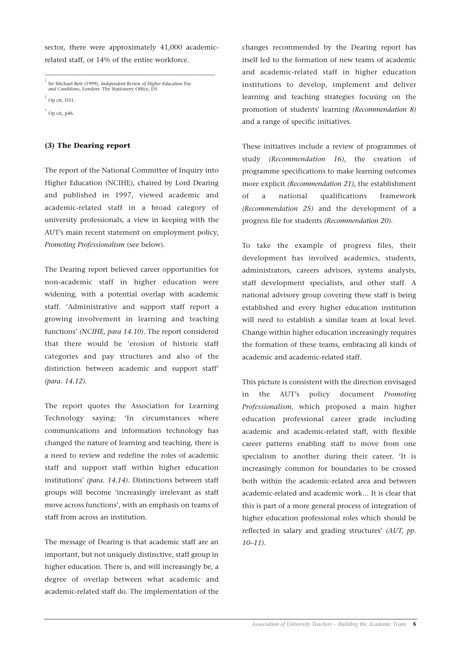sector, there were approximately 41,000 academicrelated staff, or 14% of the entire workforce.

\_\_\_\_\_\_\_\_\_\_\_\_\_\_\_\_\_\_\_\_\_\_\_\_\_\_\_\_\_\_\_\_\_\_\_\_\_\_\_\_\_\_\_\_\_\_\_\_\_

 $^2$  Op cit, D31.

 $3$  Op cit, p46.

#### **(3) The Dearing report**

The report of the National Committee of Inquiry into Higher Education (NCIHE), chaired by Lord Dearing and published in 1997, viewed academic and academic-related staff in a broad category of university professionals, a view in keeping with the AUT's main recent statement on employment policy, *Promoting Professionalism* (see below).

The Dearing report believed career opportunities for non-academic staff in higher education were widening, with a potential overlap with academic staff. 'Administrative and support staff report a growing involvement in learning and teaching functions' *(NCIHE, para 14.10)*. The report considered that there would be 'erosion of historic staff categories and pay structures and also of the distinction between academic and support staff' *(para. 14.12)*.

The report quotes the Association for Learning Technology saying: 'In circumstances where communications and information technology has changed the nature of learning and teaching, there is a need to review and redefine the roles of academic staff and support staff within higher education institutions' *(para. 14.14)*. Distinctions between staff groups will become 'increasingly irrelevant as staff move across functions', with an emphasis on teams of staff from across an institution.

The message of Dearing is that academic staff are an important, but not uniquely distinctive, staff group in higher education. There is, and will increasingly be, a degree of overlap between what academic and academic-related staff do. The implementation of the

changes recommended by the Dearing report has itself led to the formation of new teams of academic and academic-related staff in higher education institutions to develop, implement and deliver learning and teaching strategies focusing on the promotion of students' learning *(Recommendation 8)* and a range of specific initiatives.

These initiatives include a review of programmes of study *(Recommendation 16)*, the creation of programme specifications to make learning outcomes more explicit *(Recommendation 21)*, the establishment of a national qualifications framework *(Recommendation 25)* and the development of a progress file for students *(Recommendation 20)*.

To take the example of progress files, their development has involved academics, students, administrators, careers advisors, systems analysts, staff development specialists, and other staff. A national advisory group covering these staff is being established and every higher education institution will need to establish a similar team at local level. Change within higher education increasingly requires the formation of these teams, embracing all kinds of academic and academic-related staff.

This picture is consistent with the direction envisaged in the AUT's policy document *Promoting Professionalism*, which proposed a main higher education professional career grade including academic and academic-related staff, with flexible career patterns enabling staff to move from one specialism to another during their career. 'It is increasingly common for boundaries to be crossed both within the academic-related area and between academic-related and academic work… It is clear that this is part of a more general process of integration of higher education professional roles which should be reflected in salary and grading structures' *(AUT, pp. 10–11)*.

<sup>1</sup> Sir Michael Bett (1999), *Independent Review of Higher Education Pay and Conditions*, London: The Stationery Office, D5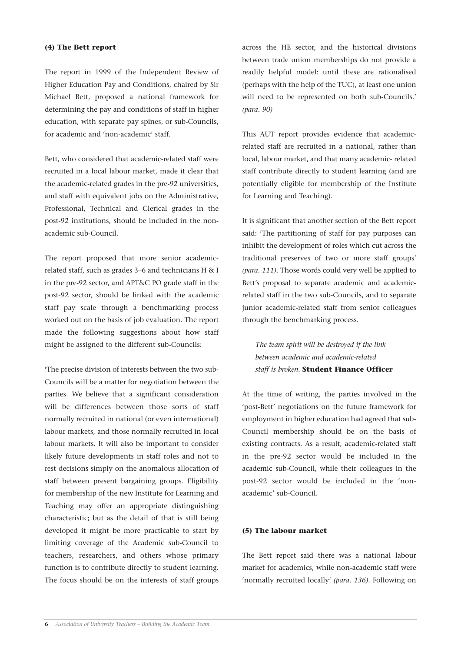#### **(4) The Bett report**

The report in 1999 of the Independent Review of Higher Education Pay and Conditions, chaired by Sir Michael Bett, proposed a national framework for determining the pay and conditions of staff in higher education, with separate pay spines, or sub-Councils, for academic and 'non-academic' staff.

Bett, who considered that academic-related staff were recruited in a local labour market, made it clear that the academic-related grades in the pre-92 universities, and staff with equivalent jobs on the Administrative, Professional, Technical and Clerical grades in the post-92 institutions, should be included in the nonacademic sub-Council.

The report proposed that more senior academicrelated staff, such as grades 3–6 and technicians H & I in the pre-92 sector, and APT&C PO grade staff in the post-92 sector, should be linked with the academic staff pay scale through a benchmarking process worked out on the basis of job evaluation. The report made the following suggestions about how staff might be assigned to the different sub-Councils:

'The precise division of interests between the two sub-Councils will be a matter for negotiation between the parties. We believe that a significant consideration will be differences between those sorts of staff normally recruited in national (or even international) labour markets, and those normally recruited in local labour markets. It will also be important to consider likely future developments in staff roles and not to rest decisions simply on the anomalous allocation of staff between present bargaining groups. Eligibility for membership of the new Institute for Learning and Teaching may offer an appropriate distinguishing characteristic; but as the detail of that is still being developed it might be more practicable to start by limiting coverage of the Academic sub-Council to teachers, researchers, and others whose primary function is to contribute directly to student learning. The focus should be on the interests of staff groups

across the HE sector, and the historical divisions between trade union memberships do not provide a readily helpful model: until these are rationalised (perhaps with the help of the TUC), at least one union will need to be represented on both sub-Councils.' *(para. 90)*

This AUT report provides evidence that academicrelated staff are recruited in a national, rather than local, labour market, and that many academic- related staff contribute directly to student learning (and are potentially eligible for membership of the Institute for Learning and Teaching).

It is significant that another section of the Bett report said: 'The partitioning of staff for pay purposes can inhibit the development of roles which cut across the traditional preserves of two or more staff groups' *(para. 111)*. Those words could very well be applied to Bett's proposal to separate academic and academicrelated staff in the two sub-Councils, and to separate junior academic-related staff from senior colleagues through the benchmarking process.

*The team spirit will be destroyed if the link between academic and academic-related staff is broken.* **Student Finance Officer**

At the time of writing, the parties involved in the 'post-Bett' negotiations on the future framework for employment in higher education had agreed that sub-Council membership should be on the basis of existing contracts. As a result, academic-related staff in the pre-92 sector would be included in the academic sub-Council, while their colleagues in the post-92 sector would be included in the 'nonacademic' sub-Council.

#### **(5) The labour market**

The Bett report said there was a national labour market for academics, while non-academic staff were 'normally recruited locally' *(para. 136)*. Following on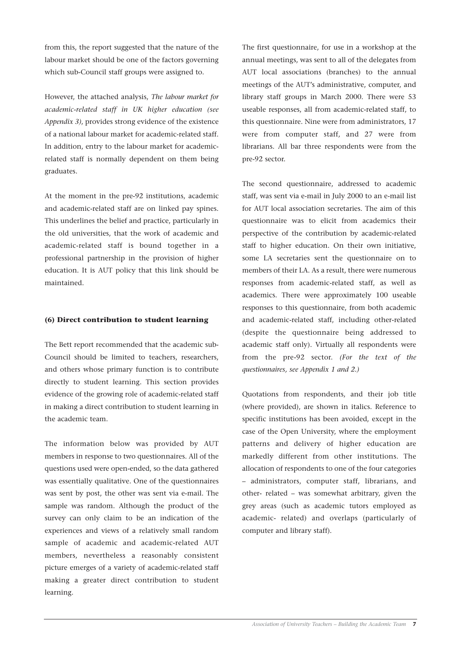from this, the report suggested that the nature of the labour market should be one of the factors governing which sub-Council staff groups were assigned to.

However, the attached analysis, *The labour market for academic-related staff in UK higher education (see Appendix 3)*, provides strong evidence of the existence of a national labour market for academic-related staff. In addition, entry to the labour market for academicrelated staff is normally dependent on them being graduates.

At the moment in the pre-92 institutions, academic and academic-related staff are on linked pay spines. This underlines the belief and practice, particularly in the old universities, that the work of academic and academic-related staff is bound together in a professional partnership in the provision of higher education. It is AUT policy that this link should be maintained.

#### **(6) Direct contribution to student learning**

The Bett report recommended that the academic sub-Council should be limited to teachers, researchers, and others whose primary function is to contribute directly to student learning. This section provides evidence of the growing role of academic-related staff in making a direct contribution to student learning in the academic team.

The information below was provided by AUT members in response to two questionnaires. All of the questions used were open-ended, so the data gathered was essentially qualitative. One of the questionnaires was sent by post, the other was sent via e-mail. The sample was random. Although the product of the survey can only claim to be an indication of the experiences and views of a relatively small random sample of academic and academic-related AUT members, nevertheless a reasonably consistent picture emerges of a variety of academic-related staff making a greater direct contribution to student learning.

The first questionnaire, for use in a workshop at the annual meetings, was sent to all of the delegates from AUT local associations (branches) to the annual meetings of the AUT's administrative, computer, and library staff groups in March 2000. There were 53 useable responses, all from academic-related staff, to this questionnaire. Nine were from administrators, 17 were from computer staff, and 27 were from librarians. All bar three respondents were from the pre-92 sector.

The second questionnaire, addressed to academic staff, was sent via e-mail in July 2000 to an e-mail list for AUT local association secretaries. The aim of this questionnaire was to elicit from academics their perspective of the contribution by academic-related staff to higher education. On their own initiative, some LA secretaries sent the questionnaire on to members of their LA. As a result, there were numerous responses from academic-related staff, as well as academics. There were approximately 100 useable responses to this questionnaire, from both academic and academic-related staff, including other-related (despite the questionnaire being addressed to academic staff only). Virtually all respondents were from the pre-92 sector. *(For the text of the questionnaires, see Appendix 1 and 2.)*

Quotations from respondents, and their job title (where provided), are shown in italics. Reference to specific institutions has been avoided, except in the case of the Open University, where the employment patterns and delivery of higher education are markedly different from other institutions. The allocation of respondents to one of the four categories – administrators, computer staff, librarians, and other- related – was somewhat arbitrary, given the grey areas (such as academic tutors employed as academic- related) and overlaps (particularly of computer and library staff).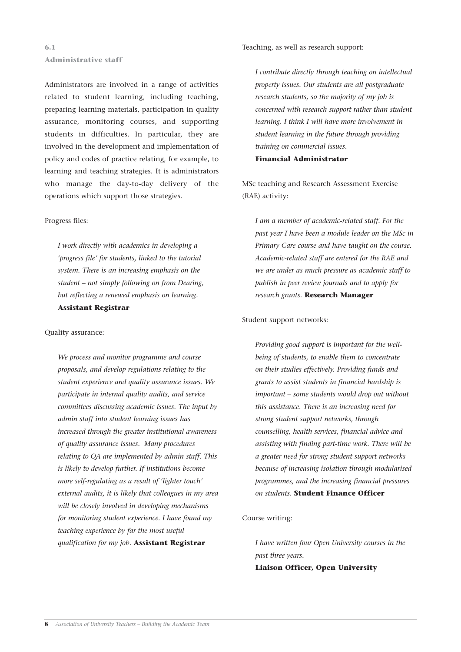#### **6.1 Administrative staff**

Administrators are involved in a range of activities related to student learning, including teaching, preparing learning materials, participation in quality assurance, monitoring courses, and supporting students in difficulties. In particular, they are involved in the development and implementation of policy and codes of practice relating, for example, to learning and teaching strategies. It is administrators who manage the day-to-day delivery of the operations which support those strategies.

#### Progress files:

*I work directly with academics in developing a 'progress file' for students, linked to the tutorial system. There is an increasing emphasis on the student – not simply following on from Dearing, but reflecting a renewed emphasis on learning.* **Assistant Registrar**

#### Quality assurance:

*We process and monitor programme and course proposals, and develop regulations relating to the student experience and quality assurance issues. We participate in internal quality audits, and service committees discussing academic issues. The input by admin staff into student learning issues has increased through the greater institutional awareness of quality assurance issues. Many procedures relating to QA are implemented by admin staff. This is likely to develop further. If institutions become more self-regulating as a result of 'lighter touch' external audits, it is likely that colleagues in my area will be closely involved in developing mechanisms for monitoring student experience. I have found my teaching experience by far the most useful qualification for my job.* **Assistant Registrar**

Teaching, as well as research support:

*I contribute directly through teaching on intellectual property issues. Our students are all postgraduate research students, so the majority of my job is concerned with research support rather than student learning. I think I will have more involvement in student learning in the future through providing training on commercial issues.*

**Financial Administrator**

MSc teaching and Research Assessment Exercise (RAE) activity:

*I am a member of academic-related staff. For the past year I have been a module leader on the MSc in Primary Care course and have taught on the course. Academic-related staff are entered for the RAE and we are under as much pressure as academic staff to publish in peer review journals and to apply for research grants.* **Research Manager**

#### Student support networks:

*Providing good support is important for the wellbeing of students, to enable them to concentrate on their studies effectively. Providing funds and grants to assist students in financial hardship is important – some students would drop out without this assistance. There is an increasing need for strong student support networks, through counselling, health services, financial advice and assisting with finding part-time work. There will be a greater need for strong student support networks because of increasing isolation through modularised programmes, and the increasing financial pressures on students.* **Student Finance Officer**

#### Course writing:

*I have written four Open University courses in the past three years.*  **Liaison Officer, Open University**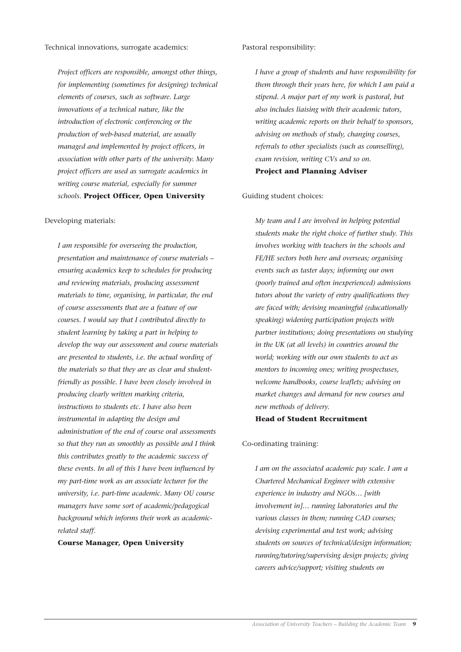*Project officers are responsible, amongst other things, for implementing (sometimes for designing) technical elements of courses, such as software. Large innovations of a technical nature, like the introduction of electronic conferencing or the production of web-based material, are usually managed and implemented by project officers, in association with other parts of the university. Many project officers are used as surrogate academics in writing course material, especially for summer schools.* **Project Officer, Open University**

#### Developing materials:

*I am responsible for overseeing the production, presentation and maintenance of course materials – ensuring academics keep to schedules for producing and reviewing materials, producing assessment materials to time, organising, in particular, the end of course assessments that are a feature of our courses. I would say that I contributed directly to student learning by taking a part in helping to develop the way our assessment and course materials are presented to students, i.e. the actual wording of the materials so that they are as clear and studentfriendly as possible. I have been closely involved in producing clearly written marking criteria, instructions to students etc. I have also been instrumental in adapting the design and administration of the end of course oral assessments so that they run as smoothly as possible and I think this contributes greatly to the academic success of these events. In all of this I have been influenced by my part-time work as an associate lecturer for the university, i.e. part-time academic. Many OU course managers have some sort of academic/pedagogical background which informs their work as academicrelated staff.* 

#### **Course Manager, Open University**

Pastoral responsibility:

*I have a group of students and have responsibility for them through their years here, for which I am paid a stipend. A major part of my work is pastoral, but also includes liaising with their academic tutors, writing academic reports on their behalf to sponsors, advising on methods of study, changing courses, referrals to other specialists (such as counselling), exam revision, writing CVs and so on.*  **Project and Planning Adviser**

#### Guiding student choices:

*My team and I are involved in helping potential students make the right choice of further study. This involves working with teachers in the schools and FE/HE sectors both here and overseas; organising events such as taster days; informing our own (poorly trained and often inexperienced) admissions tutors about the variety of entry qualifications they are faced with; devising meaningful (educationally speaking) widening participation projects with partner institutions; doing presentations on studying in the UK (at all levels) in countries around the world; working with our own students to act as mentors to incoming ones; writing prospectuses, welcome handbooks, course leaflets; advising on market changes and demand for new courses and new methods of delivery.* 

#### **Head of Student Recruitment**

#### Co-ordinating training:

*I am on the associated academic pay scale. I am a Chartered Mechanical Engineer with extensive experience in industry and NGOs… [with involvement in]… running laboratories and the various classes in them; running CAD courses; devising experimental and test work; advising students on sources of technical/design information; running/tutoring/supervising design projects; giving careers advice/support; visiting students on*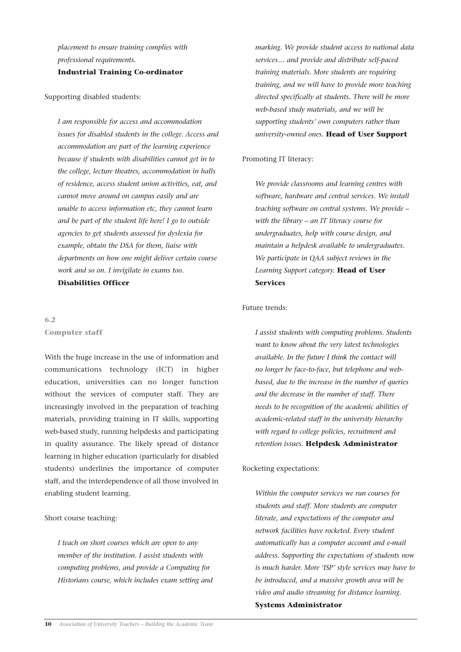*placement to ensure training complies with professional requirements.* 

**Industrial Training Co-ordinator**

#### Supporting disabled students:

*I am responsible for access and accommodation issues for disabled students in the college. Access and accommodation are part of the learning experience because if students with disabilities cannot get in to the college, lecture theatres, accommodation in halls of residence, access student union activities, eat, and cannot move around on campus easily and are unable to access information etc, they cannot learn and be part of the student life here! I go to outside agencies to get students assessed for dyslexia for example, obtain the DSA for them, liaise with departments on how one might deliver certain course work and so on. I invigilate in exams too.*  **Disabilities Officer**

**6.2 Computer staff**

With the huge increase in the use of information and communications technology (ICT) in higher education, universities can no longer function without the services of computer staff. They are increasingly involved in the preparation of teaching materials, providing training in IT skills, supporting web-based study, running helpdesks and participating in quality assurance. The likely spread of distance learning in higher education (particularly for disabled students) underlines the importance of computer staff, and the interdependence of all those involved in enabling student learning.

Short course teaching:

*I teach on short courses which are open to any member of the institution. I assist students with computing problems, and provide a Computing for Historians course, which includes exam setting and*  *marking. We provide student access to national data services… and provide and distribute self-paced training materials. More students are requiring training, and we will have to provide more teaching directed specifically at students. There will be more web-based study materials, and we will be supporting students' own computers rather than university-owned ones.* **Head of User Support**

#### Promoting IT literacy:

*We provide classrooms and learning centres with software, hardware and central services. We install teaching software on central systems. We provide – with the library – an IT literacy course for undergraduates, help with course design, and maintain a helpdesk available to undergraduates. We participate in QAA subject reviews in the Learning Support category.* **Head of User Services**

#### Future trends:

*I assist students with computing problems. Students want to know about the very latest technologies available. In the future I think the contact will no longer be face-to-face, but telephone and webbased, due to the increase in the number of queries and the decrease in the number of staff. There needs to be recognition of the academic abilities of academic-related staff in the university hierarchy with regard to college policies, recruitment and retention issues.* **Helpdesk Administrator**

#### Rocketing expectations:

*Within the computer services we run courses for students and staff. More students are computer literate, and expectations of the computer and network facilities have rocketed. Every student automatically has a computer account and e-mail address. Supporting the expectations of students now is much harder. More 'ISP' style services may have to be introduced, and a massive growth area will be video and audio streaming for distance learning.*  **Systems Administrator**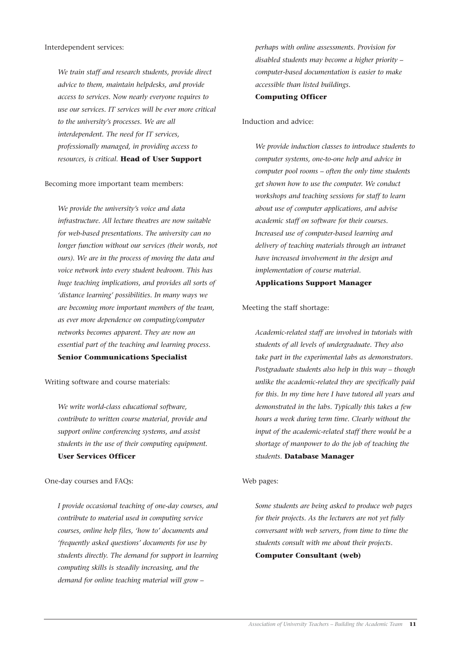#### Interdependent services:

*We train staff and research students, provide direct advice to them, maintain helpdesks, and provide access to services. Now nearly everyone requires to use our services. IT services will be ever more critical to the university's processes. We are all interdependent. The need for IT services, professionally managed, in providing access to resources, is critical.* **Head of User Support**

#### Becoming more important team members:

*We provide the university's voice and data infrastructure. All lecture theatres are now suitable for web-based presentations. The university can no longer function without our services (their words, not ours). We are in the process of moving the data and voice network into every student bedroom. This has huge teaching implications, and provides all sorts of 'distance learning' possibilities. In many ways we are becoming more important members of the team, as ever more dependence on computing/computer networks becomes apparent. They are now an essential part of the teaching and learning process.*  **Senior Communications Specialist**

Writing software and course materials:

*We write world-class educational software, contribute to written course material, provide and support online conferencing systems, and assist students in the use of their computing equipment.*  **User Services Officer**

One-day courses and FAQs:

*I provide occasional teaching of one-day courses, and contribute to material used in computing service courses, online help files, 'how to' documents and 'frequently asked questions' documents for use by students directly. The demand for support in learning computing skills is steadily increasing, and the demand for online teaching material will grow –* 

*perhaps with online assessments. Provision for disabled students may become a higher priority – computer-based documentation is easier to make accessible than listed buildings.* 

#### **Computing Officer**

#### Induction and advice:

*We provide induction classes to introduce students to computer systems, one-to-one help and advice in computer pool rooms – often the only time students get shown how to use the computer. We conduct workshops and teaching sessions for staff to learn about use of computer applications, and advise academic staff on software for their courses. Increased use of computer-based learning and delivery of teaching materials through an intranet have increased involvement in the design and implementation of course material.* 

**Applications Support Manager**

#### Meeting the staff shortage:

*Academic-related staff are involved in tutorials with students of all levels of undergraduate. They also take part in the experimental labs as demonstrators. Postgraduate students also help in this way – though unlike the academic-related they are specifically paid for this. In my time here I have tutored all years and demonstrated in the labs. Typically this takes a few hours a week during term time. Clearly without the input of the academic-related staff there would be a shortage of manpower to do the job of teaching the students.* **Database Manager**

#### Web pages:

*Some students are being asked to produce web pages for their projects. As the lecturers are not yet fully conversant with web servers, from time to time the students consult with me about their projects.*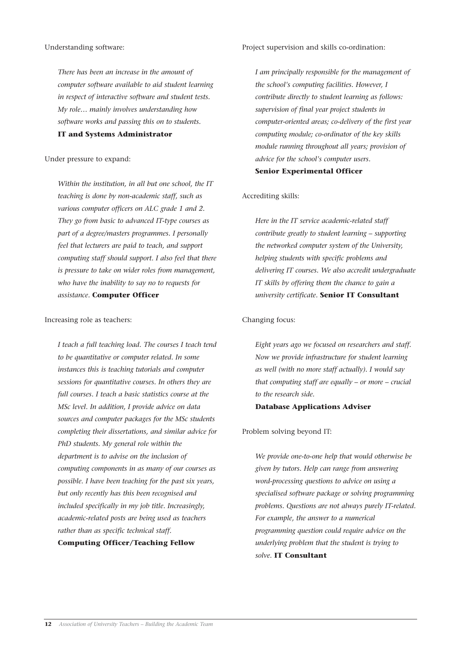#### Understanding software:

*There has been an increase in the amount of computer software available to aid student learning in respect of interactive software and student tests. My role… mainly involves understanding how software works and passing this on to students.*  **IT and Systems Administrator**

#### Under pressure to expand:

*Within the institution, in all but one school, the IT teaching is done by non-academic staff, such as various computer officers on ALC grade 1 and 2. They go from basic to advanced IT-type courses as part of a degree/masters programmes. I personally feel that lecturers are paid to teach, and support computing staff should support. I also feel that there is pressure to take on wider roles from management, who have the inability to say no to requests for assistance.* **Computer Officer**

#### Increasing role as teachers:

*I teach a full teaching load. The courses I teach tend to be quantitative or computer related. In some instances this is teaching tutorials and computer sessions for quantitative courses. In others they are full courses. I teach a basic statistics course at the MSc level. In addition, I provide advice on data sources and computer packages for the MSc students completing their dissertations, and similar advice for PhD students. My general role within the department is to advise on the inclusion of computing components in as many of our courses as possible. I have been teaching for the past six years, but only recently has this been recognised and included specifically in my job title. Increasingly, academic-related posts are being used as teachers rather than as specific technical staff.*  **Computing Officer/Teaching Fellow**

#### Project supervision and skills co-ordination:

*I am principally responsible for the management of the school's computing facilities. However, I contribute directly to student learning as follows: supervision of final year project students in computer-oriented areas; co-delivery of the first year computing module; co-ordinator of the key skills module running throughout all years; provision of advice for the school's computer users.*  **Senior Experimental Officer**

#### Accrediting skills:

*Here in the IT service academic-related staff contribute greatly to student learning – supporting the networked computer system of the University, helping students with specific problems and delivering IT courses. We also accredit undergraduate IT skills by offering them the chance to gain a university certificate.* **Senior IT Consultant**

#### Changing focus:

*Eight years ago we focused on researchers and staff. Now we provide infrastructure for student learning as well (with no more staff actually). I would say that computing staff are equally – or more – crucial to the research side.* 

#### **Database Applications Adviser**

#### Problem solving beyond IT:

*We provide one-to-one help that would otherwise be given by tutors. Help can range from answering word-processing questions to advice on using a specialised software package or solving programming problems. Questions are not always purely IT-related. For example, the answer to a numerical programming question could require advice on the underlying problem that the student is trying to solve.* **IT Consultant**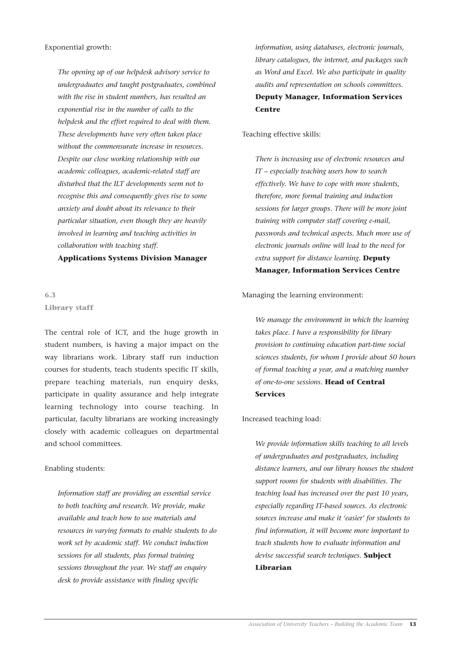Exponential growth:

*The opening up of our helpdesk advisory service to undergraduates and taught postgraduates, combined with the rise in student numbers, has resulted an exponential rise in the number of calls to the helpdesk and the effort required to deal with them. These developments have very often taken place without the commensurate increase in resources. Despite our close working relationship with our academic colleagues, academic-related staff are disturbed that the ILT developments seem not to recognise this and consequently gives rise to some anxiety and doubt about its relevance to their particular situation, even though they are heavily involved in learning and teaching activities in collaboration with teaching staff.* 

**Applications Systems Division Manager**

#### **6.3 Library staff**

The central role of ICT, and the huge growth in student numbers, is having a major impact on the way librarians work. Library staff run induction courses for students, teach students specific IT skills, prepare teaching materials, run enquiry desks, participate in quality assurance and help integrate learning technology into course teaching. In particular, faculty librarians are working increasingly closely with academic colleagues on departmental and school committees.

#### Enabling students:

*Information staff are providing an essential service to both teaching and research. We provide, make available and teach how to use materials and resources in varying formats to enable students to do work set by academic staff. We conduct induction sessions for all students, plus formal training sessions throughout the year. We staff an enquiry desk to provide assistance with finding specific*

*information, using databases, electronic journals, library catalogues, the internet, and packages such as Word and Excel. We also participate in quality audits and representation on schools committees.* **Deputy Manager, Information Services Centre**

Teaching effective skills:

*There is increasing use of electronic resources and IT – especially teaching users how to search effectively. We have to cope with more students, therefore, more formal training and induction sessions for larger groups. There will be more joint training with computer staff covering e-mail, passwords and technical aspects. Much more use of electronic journals online will lead to the need for extra support for distance learning.* **Deputy Manager, Information Services Centre**

#### Managing the learning environment:

*We manage the environment in which the learning takes place. I have a responsibility for library provision to continuing education part-time social sciences students, for whom I provide about 50 hours of formal teaching a year, and a matching number of one-to-one sessions.* **Head of Central Services**

#### Increased teaching load:

*We provide information skills teaching to all levels of undergraduates and postgraduates, including distance learners, and our library houses the student support rooms for students with disabilities. The teaching load has increased over the past 10 years, especially regarding IT-based sources. As electronic sources increase and make it 'easier' for students to find information, it will become more important to teach students how to evaluate information and devise successful search techniques.* **Subject Librarian**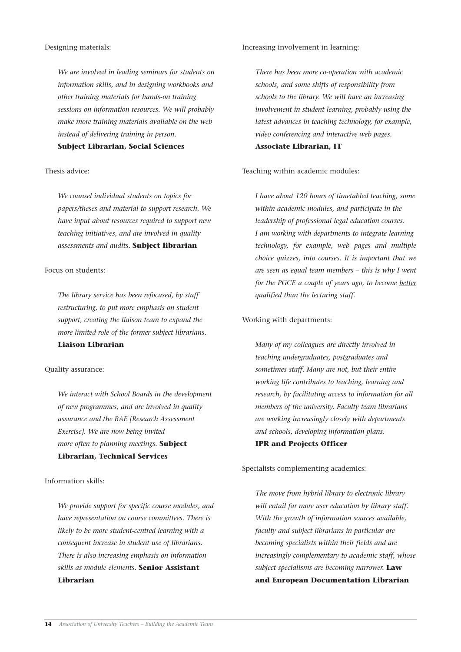#### Designing materials:

*We are involved in leading seminars for students on information skills, and in designing workbooks and other training materials for hands-on training sessions on information resources. We will probably make more training materials available on the web instead of delivering training in person.* 

#### **Subject Librarian, Social Sciences**

#### Thesis advice:

*We counsel individual students on topics for papers/theses and material to support research. We have input about resources required to support new teaching initiatives, and are involved in quality assessments and audits.* **Subject librarian**

#### Focus on students:

*The library service has been refocused, by staff restructuring, to put more emphasis on student support, creating the liaison team to expand the more limited role of the former subject librarians.*  **Liaison Librarian**

#### Quality assurance:

*We interact with School Boards in the development of new programmes, and are involved in quality assurance and the RAE [Research Assessment Exercise]. We are now being invited more often to planning meetings.* **Subject Librarian, Technical Services**

#### Information skills:

*We provide support for specific course modules, and have representation on course committees. There is likely to be more student-centred learning with a consequent increase in student use of librarians. There is also increasing emphasis on information skills as module elements.* **Senior Assistant Librarian**

Increasing involvement in learning:

*There has been more co-operation with academic schools, and some shifts of responsibility from schools to the library. We will have an increasing involvement in student learning, probably using the latest advances in teaching technology, for example, video conferencing and interactive web pages.* **Associate Librarian, IT**

### Teaching within academic modules:

*I have about 120 hours of timetabled teaching, some within academic modules, and participate in the leadership of professional legal education courses. I am working with departments to integrate learning technology, for example, web pages and multiple choice quizzes, into courses. It is important that we are seen as equal team members – this is why I went for the PGCE a couple of years ago, to become better qualified than the lecturing staff.*

#### Working with departments:

*Many of my colleagues are directly involved in teaching undergraduates, postgraduates and sometimes staff. Many are not, but their entire working life contributes to teaching, learning and research, by facilitating access to information for all members of the university. Faculty team librarians are working increasingly closely with departments and schools, developing information plans.* 

#### **IPR and Projects Officer**

#### Specialists complementing academics:

*The move from hybrid library to electronic library will entail far more user education by library staff. With the growth of information sources available, faculty and subject librarians in particular are becoming specialists within their fields and are increasingly complementary to academic staff, whose subject specialisms are becoming narrower.* **Law and European Documentation Librarian**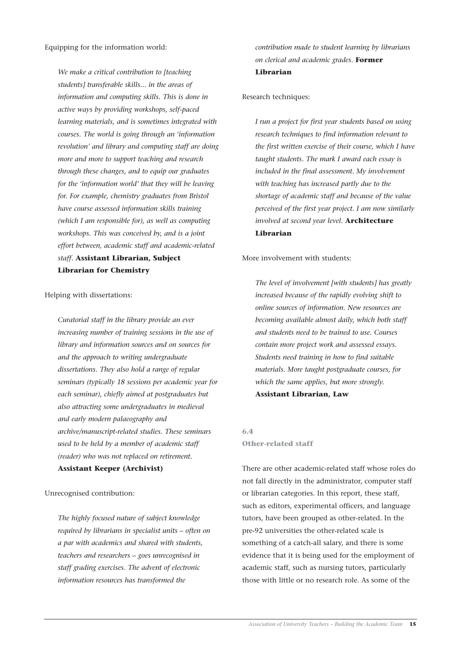Equipping for the information world:

*We make a critical contribution to [teaching students] transferable skills... in the areas of information and computing skills. This is done in active ways by providing workshops, self-paced learning materials, and is sometimes integrated with courses. The world is going through an 'information revolution' and library and computing staff are doing more and more to support teaching and research through these changes, and to equip our graduates for the 'information world' that they will be leaving for. For example, chemistry graduates from Bristol have course assessed information skills training (which I am responsible for), as well as computing workshops. This was conceived by, and is a joint effort between, academic staff and academic-related staff.* **Assistant Librarian, Subject Librarian for Chemistry**

#### Helping with dissertations:

*Curatorial staff in the library provide an ever increasing number of training sessions in the use of library and information sources and on sources for and the approach to writing undergraduate dissertations. They also hold a range of regular seminars (typically 18 sessions per academic year for each seminar), chiefly aimed at postgraduates but also attracting some undergraduates in medieval and early modern palaeography and archive/manuscript-related studies. These seminars used to be held by a member of academic staff (reader) who was not replaced on retirement.* 

#### **Assistant Keeper (Archivist)**

Unrecognised contribution:

*The highly focused nature of subject knowledge required by librarians in specialist units – often on a par with academics and shared with students, teachers and researchers – goes unrecognised in staff grading exercises. The advent of electronic information resources has transformed the*

*contribution made to student learning by librarians on clerical and academic grades.* **Former Librarian**

#### Research techniques:

*I run a project for first year students based on using research techniques to find information relevant to the first written exercise of their course, which I have taught students. The mark I award each essay is included in the final assessment. My involvement with teaching has increased partly due to the shortage of academic staff and because of the value perceived of the first year project. I am now similarly involved at second year level.* **Architecture Librarian**

#### More involvement with students:

*The level of involvement [with students] has greatly increased because of the rapidly evolving shift to online sources of information. New resources are becoming available almost daily, which both staff and students need to be trained to use. Courses contain more project work and assessed essays. Students need training in how to find suitable materials. More taught postgraduate courses, for which the same applies, but more strongly.*  **Assistant Librarian, Law**

**6.4**

#### **Other-related staff**

There are other academic-related staff whose roles do not fall directly in the administrator, computer staff or librarian categories. In this report, these staff, such as editors, experimental officers, and language tutors, have been grouped as other-related. In the pre-92 universities the other-related scale is something of a catch-all salary, and there is some evidence that it is being used for the employment of academic staff, such as nursing tutors, particularly those with little or no research role. As some of the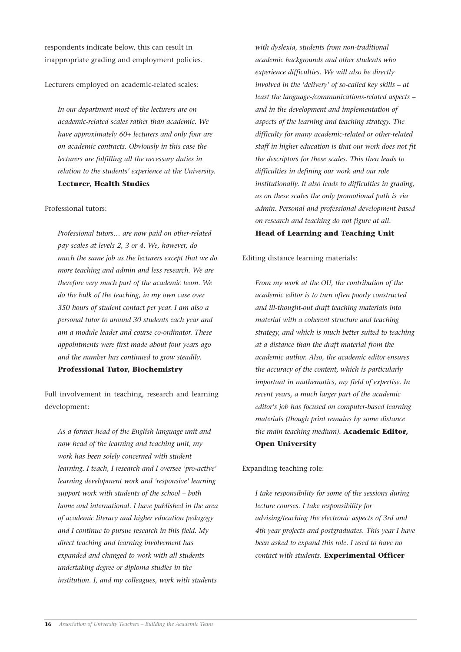respondents indicate below, this can result in inappropriate grading and employment policies.

#### Lecturers employed on academic-related scales:

*In our department most of the lecturers are on academic-related scales rather than academic. We have approximately 60+ lecturers and only four are on academic contracts. Obviously in this case the lecturers are fulfilling all the necessary duties in relation to the students' experience at the University.*

#### **Lecturer, Health Studies**

#### Professional tutors:

*Professional tutors… are now paid on other-related pay scales at levels 2, 3 or 4. We, however, do much the same job as the lecturers except that we do more teaching and admin and less research. We are therefore very much part of the academic team. We do the bulk of the teaching, in my own case over 350 hours of student contact per year. I am also a personal tutor to around 30 students each year and am a module leader and course co-ordinator. These appointments were first made about four years ago and the number has continued to grow steadily.*  **Professional Tutor, Biochemistry**

Full involvement in teaching, research and learning development:

*As a former head of the English language unit and now head of the learning and teaching unit, my work has been solely concerned with student learning. I teach, I research and I oversee 'pro-active' learning development work and 'responsive' learning support work with students of the school – both home and international. I have published in the area of academic literacy and higher education pedagogy and I continue to pursue research in this field. My direct teaching and learning involvement has expanded and changed to work with all students undertaking degree or diploma studies in the institution. I, and my colleagues, work with students*

*with dyslexia, students from non-traditional academic backgrounds and other students who experience difficulties. We will also be directly involved in the 'delivery' of so-called key skills – at least the language-/communications-related aspects – and in the development and implementation of aspects of the learning and teaching strategy. The difficulty for many academic-related or other-related staff in higher education is that our work does not fit the descriptors for these scales. This then leads to difficulties in defining our work and our role institutionally. It also leads to difficulties in grading, as on these scales the only promotional path is via admin. Personal and professional development based on research and teaching do not figure at all.*  **Head of Learning and Teaching Unit**

Editing distance learning materials:

*From my work at the OU, the contribution of the academic editor is to turn often poorly constructed and ill-thought-out draft teaching materials into material with a coherent structure and teaching strategy, and which is much better suited to teaching at a distance than the draft material from the academic author. Also, the academic editor ensures the accuracy of the content, which is particularly important in mathematics, my field of expertise. In recent years, a much larger part of the academic editor's job has focused on computer-based learning materials (though print remains by some distance the main teaching medium).* **Academic Editor, Open University**

Expanding teaching role:

*I take responsibility for some of the sessions during lecture courses. I take responsibility for advising/teaching the electronic aspects of 3rd and 4th year projects and postgraduates. This year I have been asked to expand this role. I used to have no contact with students.* **Experimental Officer**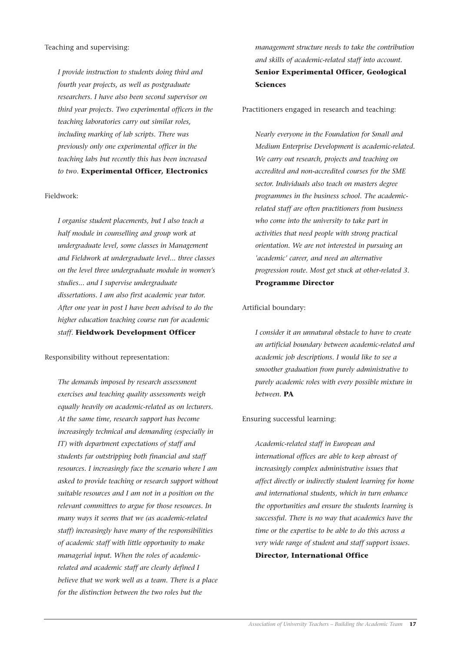Teaching and supervising:

*I provide instruction to students doing third and fourth year projects, as well as postgraduate researchers. I have also been second supervisor on third year projects. Two experimental officers in the teaching laboratories carry out similar roles, including marking of lab scripts. There was previously only one experimental officer in the teaching labs but recently this has been increased to two.* **Experimental Officer, Electronics**

#### Fieldwork:

*I organise student placements, but I also teach a half module in counselling and group work at undergraduate level, some classes in Management and Fieldwork at undergraduate level... three classes on the level three undergraduate module in women's studies... and I supervise undergraduate dissertations. I am also first academic year tutor. After one year in post I have been advised to do the higher education teaching course run for academic staff.* **Fieldwork Development Officer**

Responsibility without representation:

*The demands imposed by research assessment exercises and teaching quality assessments weigh equally heavily on academic-related as on lecturers. At the same time, research support has become increasingly technical and demanding (especially in IT) with department expectations of staff and students far outstripping both financial and staff resources. I increasingly face the scenario where I am asked to provide teaching or research support without suitable resources and I am not in a position on the relevant committees to argue for those resources. In many ways it seems that we (as academic-related staff) increasingly have many of the responsibilities of academic staff with little opportunity to make managerial input. When the roles of academicrelated and academic staff are clearly defined I believe that we work well as a team. There is a place for the distinction between the two roles but the* 

*management structure needs to take the contribution and skills of academic-related staff into account.*  **Senior Experimental Officer, Geological Sciences**

Practitioners engaged in research and teaching:

*Nearly everyone in the Foundation for Small and Medium Enterprise Development is academic-related. We carry out research, projects and teaching on accredited and non-accredited courses for the SME sector. Individuals also teach on masters degree programmes in the business school. The academicrelated staff are often practitioners from business who come into the university to take part in activities that need people with strong practical orientation. We are not interested in pursuing an 'academic' career, and need an alternative progression route. Most get stuck at other-related 3.*  **Programme Director**

#### Artificial boundary:

*I consider it an unnatural obstacle to have to create an artificial boundary between academic-related and academic job descriptions. I would like to see a smoother graduation from purely administrative to purely academic roles with every possible mixture in between.* **PA**

#### Ensuring successful learning:

*Academic-related staff in European and international offices are able to keep abreast of increasingly complex administrative issues that affect directly or indirectly student learning for home and international students, which in turn enhance the opportunities and ensure the students learning is successful. There is no way that academics have the time or the expertise to be able to do this across a very wide range of student and staff support issues.*  **Director, International Office**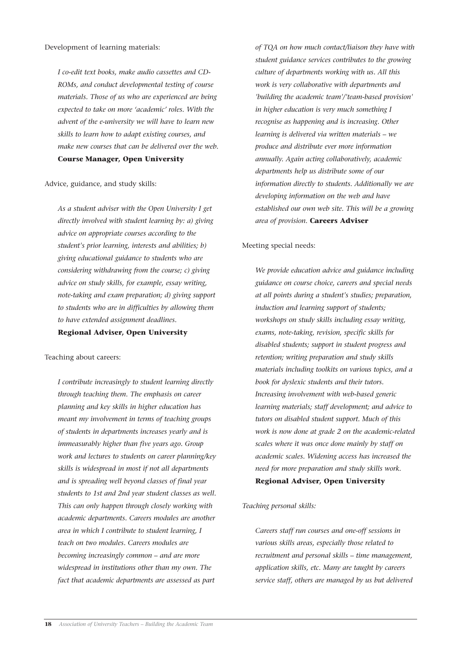*I co-edit text books, make audio cassettes and CD-ROMs, and conduct developmental testing of course materials. Those of us who are experienced are being expected to take on more 'academic' roles. With the advent of the e-university we will have to learn new skills to learn how to adapt existing courses, and make new courses that can be delivered over the web.* **Course Manager, Open University**

Advice, guidance, and study skills:

*As a student adviser with the Open University I get directly involved with student learning by: a) giving advice on appropriate courses according to the student's prior learning, interests and abilities; b) giving educational guidance to students who are considering withdrawing from the course; c) giving advice on study skills, for example, essay writing, note-taking and exam preparation; d) giving support to students who are in difficulties by allowing them to have extended assignment deadlines.* 

**Regional Adviser, Open University**

Teaching about careers:

*I contribute increasingly to student learning directly through teaching them. The emphasis on career planning and key skills in higher education has meant my involvement in terms of teaching groups of students in departments increases yearly and is immeasurably higher than five years ago. Group work and lectures to students on career planning/key skills is widespread in most if not all departments and is spreading well beyond classes of final year students to 1st and 2nd year student classes as well. This can only happen through closely working with academic departments. Careers modules are another area in which I contribute to student learning, I teach on two modules. Careers modules are becoming increasingly common – and are more widespread in institutions other than my own. The fact that academic departments are assessed as part*

*of TQA on how much contact/liaison they have with student guidance services contributes to the growing culture of departments working with us. All this work is very collaborative with departments and 'building the academic team'/'team-based provision' in higher education is very much something I recognise as happening and is increasing. Other learning is delivered via written materials – we produce and distribute ever more information annually. Again acting collaboratively, academic departments help us distribute some of our information directly to students. Additionally we are developing information on the web and have established our own web site. This will be a growing area of provision.* **Careers Adviser**

#### Meeting special needs:

*We provide education advice and guidance including guidance on course choice, careers and special needs at all points during a student's studies; preparation, induction and learning support of students; workshops on study skills including essay writing, exams, note-taking, revision, specific skills for disabled students; support in student progress and retention; writing preparation and study skills materials including toolkits on various topics, and a book for dyslexic students and their tutors. Increasing involvement with web-based generic learning materials; staff development; and advice to tutors on disabled student support. Much of this work is now done at grade 2 on the academic-related scales where it was once done mainly by staff on academic scales. Widening access has increased the need for more preparation and study skills work.* **Regional Adviser, Open University**

#### *Teaching personal skills:*

*Careers staff run courses and one-off sessions in various skills areas, especially those related to recruitment and personal skills – time management, application skills, etc. Many are taught by careers service staff, others are managed by us but delivered*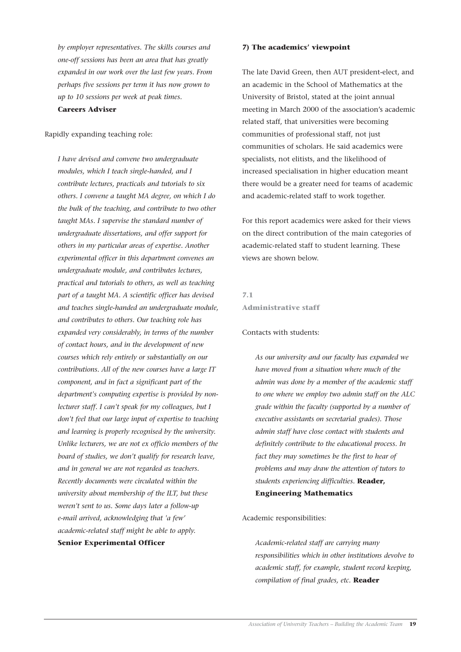*by employer representatives. The skills courses and one-off sessions has been an area that has greatly expanded in our work over the last few years. From perhaps five sessions per term it has now grown to up to 10 sessions per week at peak times.*  **Careers Adviser**

Rapidly expanding teaching role:

*I have devised and convene two undergraduate modules, which I teach single-handed, and I contribute lectures, practicals and tutorials to six others. I convene a taught MA degree, on which I do the bulk of the teaching, and contribute to two other taught MAs. I supervise the standard number of undergraduate dissertations, and offer support for others in my particular areas of expertise. Another experimental officer in this department convenes an undergraduate module, and contributes lectures, practical and tutorials to others, as well as teaching part of a taught MA. A scientific officer has devised and teaches single-handed an undergraduate module, and contributes to others. Our teaching role has expanded very considerably, in terms of the number of contact hours, and in the development of new courses which rely entirely or substantially on our contributions. All of the new courses have a large IT component, and in fact a significant part of the department's computing expertise is provided by nonlecturer staff. I can't speak for my colleagues, but I don't feel that our large input of expertise to teaching and learning is properly recognised by the university. Unlike lecturers, we are not ex officio members of the board of studies, we don't qualify for research leave, and in general we are not regarded as teachers. Recently documents were circulated within the university about membership of the ILT, but these weren't sent to us. Some days later a follow-up e-mail arrived, acknowledging that 'a few' academic-related staff might be able to apply.* **Senior Experimental Officer**

#### **7) The academics' viewpoint**

The late David Green, then AUT president-elect, and an academic in the School of Mathematics at the University of Bristol, stated at the joint annual meeting in March 2000 of the association's academic related staff, that universities were becoming communities of professional staff, not just communities of scholars. He said academics were specialists, not elitists, and the likelihood of increased specialisation in higher education meant there would be a greater need for teams of academic and academic-related staff to work together.

For this report academics were asked for their views on the direct contribution of the main categories of academic-related staff to student learning. These views are shown below.

#### **7.1 Administrative staff**

#### Contacts with students:

*As our university and our faculty has expanded we have moved from a situation where much of the admin was done by a member of the academic staff to one where we employ two admin staff on the ALC grade within the faculty (supported by a number of executive assistants on secretarial grades). Those admin staff have close contact with students and definitely contribute to the educational process. In fact they may sometimes be the first to hear of problems and may draw the attention of tutors to students experiencing difficulties.* **Reader, Engineering Mathematics**

#### Academic responsibilities:

*Academic-related staff are carrying many responsibilities which in other institutions devolve to academic staff, for example, student record keeping, compilation of final grades, etc.* **Reader**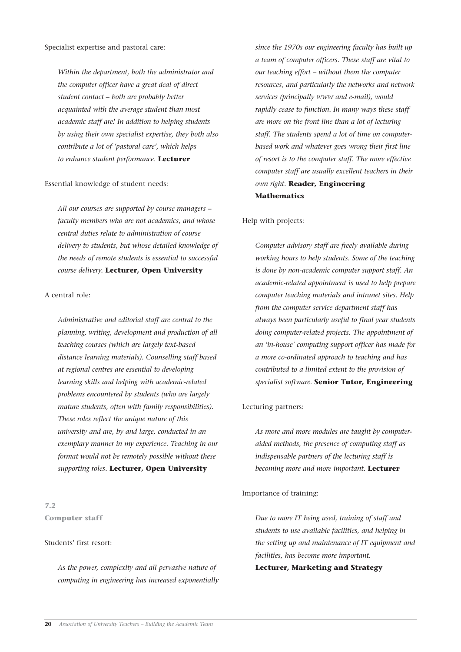*Within the department, both the administrator and the computer officer have a great deal of direct student contact – both are probably better acquainted with the average student than most academic staff are! In addition to helping students by using their own specialist expertise, they both also contribute a lot of 'pastoral care', which helps to enhance student performance.* **Lecturer**

#### Essential knowledge of student needs:

*All our courses are supported by course managers – faculty members who are not academics, and whose central duties relate to administration of course delivery to students, but whose detailed knowledge of the needs of remote students is essential to successful course delivery.* **Lecturer, Open University**

#### A central role:

*Administrative and editorial staff are central to the planning, writing, development and production of all teaching courses (which are largely text-based distance learning materials). Counselling staff based at regional centres are essential to developing learning skills and helping with academic-related problems encountered by students (who are largely mature students, often with family responsibilities). These roles reflect the unique nature of this university and are, by and large, conducted in an exemplary manner in my experience. Teaching in our format would not be remotely possible without these supporting roles.* **Lecturer, Open University**

#### **7.2 Computer staff**

#### Students' first resort:

*As the power, complexity and all pervasive nature of computing in engineering has increased exponentially* *since the 1970s our engineering faculty has built up a team of computer officers. These staff are vital to our teaching effort – without them the computer resources, and particularly the networks and network services (principally WWW and e-mail), would rapidly cease to function. In many ways these staff are more on the front line than a lot of lecturing staff. The students spend a lot of time on computerbased work and whatever goes wrong their first line of resort is to the computer staff. The more effective computer staff are usually excellent teachers in their own right.* **Reader, Engineering Mathematics**

#### Help with projects:

*Computer advisory staff are freely available during working hours to help students. Some of the teaching is done by non-academic computer support staff. An academic-related appointment is used to help prepare computer teaching materials and intranet sites. Help from the computer service department staff has always been particularly useful to final year students doing computer-related projects. The appointment of an 'in-house' computing support officer has made for a more co-ordinated approach to teaching and has contributed to a limited extent to the provision of specialist software.* **Senior Tutor, Engineering**

#### Lecturing partners:

*As more and more modules are taught by computeraided methods, the presence of computing staff as indispensable partners of the lecturing staff is becoming more and more important.* **Lecturer**

#### Importance of training:

*Due to more IT being used, training of staff and students to use available facilities, and helping in the setting up and maintenance of IT equipment and facilities, has become more important.* 

**Lecturer, Marketing and Strategy**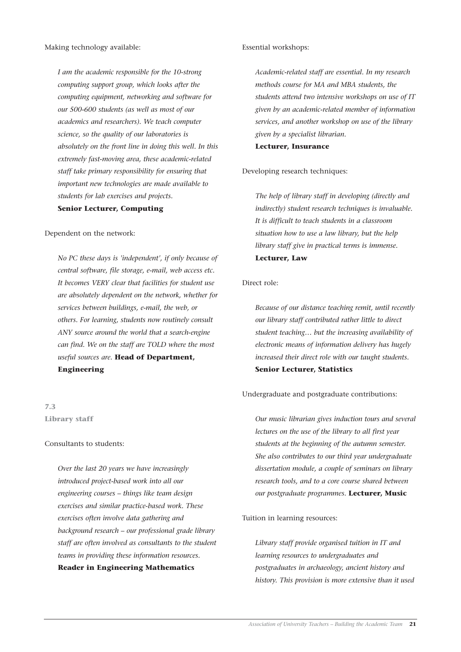*I am the academic responsible for the 10-strong computing support group, which looks after the computing equipment, networking and software for our 500-600 students (as well as most of our academics and researchers). We teach computer science, so the quality of our laboratories is absolutely on the front line in doing this well. In this extremely fast-moving area, these academic-related staff take primary responsibility for ensuring that important new technologies are made available to students for lab exercises and projects.*

**Senior Lecturer, Computing**

#### Dependent on the network:

*No PC these days is 'independent', if only because of central software, file storage, e-mail, web access etc. It becomes VERY clear that facilities for student use are absolutely dependent on the network, whether for services between buildings, e-mail, the web, or others. For learning, students now routinely consult ANY source around the world that a search-engine can find. We on the staff are TOLD where the most useful sources are.* **Head of Department, Engineering**

#### **7.3 Library staff**

#### Consultants to students:

*Over the last 20 years we have increasingly introduced project-based work into all our engineering courses – things like team design exercises and similar practice-based work. These exercises often involve data gathering and background research – our professional grade library staff are often involved as consultants to the student teams in providing these information resources.* **Reader in Engineering Mathematics**

#### Essential workshops:

*Academic-related staff are essential. In my research methods course for MA and MBA students, the students attend two intensive workshops on use of IT given by an academic-related member of information services, and another workshop on use of the library given by a specialist librarian.*

#### **Lecturer, Insurance**

#### Developing research techniques:

*The help of library staff in developing (directly and indirectly) student research techniques is invaluable. It is difficult to teach students in a classroom situation how to use a law library, but the help library staff give in practical terms is immense.* **Lecturer, Law**

#### Direct role:

*Because of our distance teaching remit, until recently our library staff contributed rather little to direct student teaching… but the increasing availability of electronic means of information delivery has hugely increased their direct role with our taught students.* **Senior Lecturer, Statistics**

#### Undergraduate and postgraduate contributions:

*Our music librarian gives induction tours and several lectures on the use of the library to all first year students at the beginning of the autumn semester. She also contributes to our third year undergraduate dissertation module, a couple of seminars on library research tools, and to a core course shared between our postgraduate programmes.* **Lecturer, Music**

#### Tuition in learning resources:

*Library staff provide organised tuition in IT and learning resources to undergraduates and postgraduates in archaeology, ancient history and history. This provision is more extensive than it used*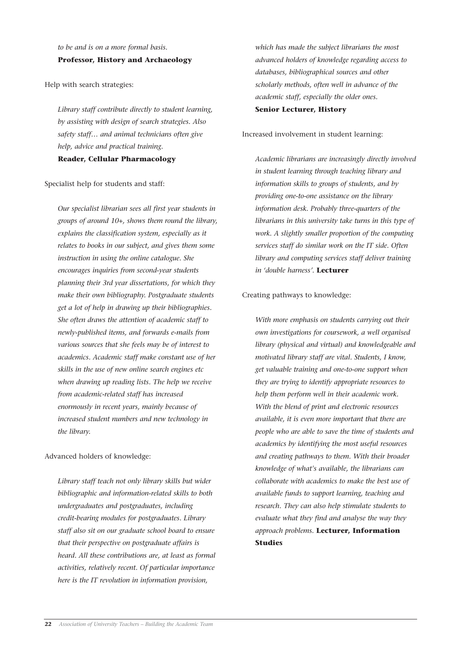*to be and is on a more formal basis.*  **Professor, History and Archaeology**

Help with search strategies:

*Library staff contribute directly to student learning, by assisting with design of search strategies. Also safety staff… and animal technicians often give help, advice and practical training.*  **Reader, Cellular Pharmacology**

Specialist help for students and staff:

*Our specialist librarian sees all first year students in groups of around 10+, shows them round the library, explains the classification system, especially as it relates to books in our subject, and gives them some instruction in using the online catalogue. She encourages inquiries from second-year students planning their 3rd year dissertations, for which they make their own bibliography. Postgraduate students get a lot of help in drawing up their bibliographies. She often draws the attention of academic staff to newly-published items, and forwards e-mails from various sources that she feels may be of interest to academics. Academic staff make constant use of her skills in the use of new online search engines etc when drawing up reading lists. The help we receive from academic-related staff has increased enormously in recent years, mainly because of increased student numbers and new technology in the library.* 

Advanced holders of knowledge:

*Library staff teach not only library skills but wider bibliographic and information-related skills to both undergraduates and postgraduates, including credit-bearing modules for postgraduates. Library staff also sit on our graduate school board to ensure that their perspective on postgraduate affairs is heard. All these contributions are, at least as formal activities, relatively recent. Of particular importance here is the IT revolution in information provision,*

*which has made the subject librarians the most advanced holders of knowledge regarding access to databases, bibliographical sources and other scholarly methods, often well in advance of the academic staff, especially the older ones.*  **Senior Lecturer, History**

Increased involvement in student learning:

*Academic librarians are increasingly directly involved in student learning through teaching library and information skills to groups of students, and by providing one-to-one assistance on the library information desk. Probably three-quarters of the librarians in this university take turns in this type of work. A slightly smaller proportion of the computing services staff do similar work on the IT side. Often library and computing services staff deliver training in 'double harness'.* **Lecturer**

#### Creating pathways to knowledge:

*With more emphasis on students carrying out their own investigations for coursework, a well organised library (physical and virtual) and knowledgeable and motivated library staff are vital. Students, I know, get valuable training and one-to-one support when they are trying to identify appropriate resources to help them perform well in their academic work. With the blend of print and electronic resources available, it is even more important that there are people who are able to save the time of students and academics by identifying the most useful resources and creating pathways to them. With their broader knowledge of what's available, the librarians can collaborate with academics to make the best use of available funds to support learning, teaching and research. They can also help stimulate students to evaluate what they find and analyse the way they approach problems.* **Lecturer, Information Studies**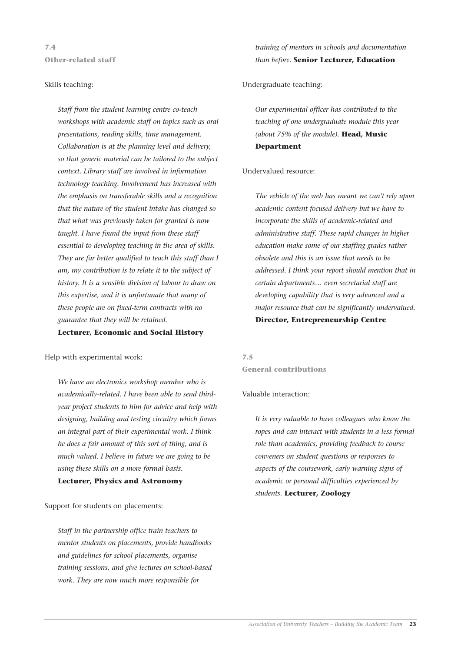**7.4 Other-related staff**

#### Skills teaching:

*Staff from the student learning centre co-teach workshops with academic staff on topics such as oral presentations, reading skills, time management. Collaboration is at the planning level and delivery, so that generic material can be tailored to the subject context. Library staff are involved in information technology teaching. Involvement has increased with the emphasis on transferable skills and a recognition that the nature of the student intake has changed so that what was previously taken for granted is now taught. I have found the input from these staff essential to developing teaching in the area of skills. They are far better qualified to teach this stuff than I am, my contribution is to relate it to the subject of history. It is a sensible division of labour to draw on this expertise, and it is unfortunate that many of these people are on fixed-term contracts with no guarantee that they will be retained.* 

#### **Lecturer, Economic and Social History**

Help with experimental work:

*We have an electronics workshop member who is academically-related. I have been able to send thirdyear project students to him for advice and help with designing, building and testing circuitry which forms an integral part of their experimental work. I think he does a fair amount of this sort of thing, and is much valued. I believe in future we are going to be using these skills on a more formal basis.*

#### **Lecturer, Physics and Astronomy**

#### Support for students on placements:

*Staff in the partnership office train teachers to mentor students on placements, provide handbooks and guidelines for school placements, organise training sessions, and give lectures on school-based work. They are now much more responsible for*

*training of mentors in schools and documentation than before.* **Senior Lecturer, Education**

#### Undergraduate teaching:

*Our experimental officer has contributed to the teaching of one undergraduate module this year (about 75% of the module).* **Head, Music Department**

#### Undervalued resource:

*The vehicle of the web has meant we can't rely upon academic content focused delivery but we have to incorporate the skills of academic-related and administrative staff. These rapid changes in higher education make some of our staffing grades rather obsolete and this is an issue that needs to be addressed. I think your report should mention that in certain departments… even secretarial staff are developing capability that is very advanced and a major resource that can be significantly undervalued.* **Director, Entrepreneurship Centre**

#### **7.5 General contributions**

#### Valuable interaction:

*It is very valuable to have colleagues who know the ropes and can interact with students in a less formal role than academics, providing feedback to course conveners on student questions or responses to aspects of the coursework, early warning signs of academic or personal difficulties experienced by students.* **Lecturer, Zoology**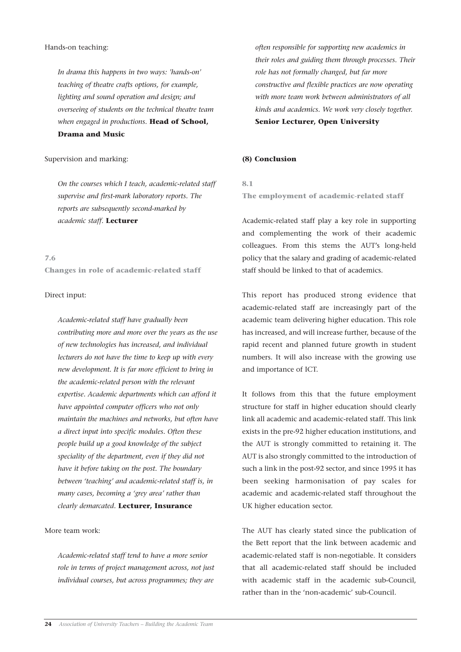#### Hands-on teaching:

*In drama this happens in two ways: 'hands-on' teaching of theatre crafts options, for example, lighting and sound operation and design; and overseeing of students on the technical theatre team when engaged in productions.* **Head of School, Drama and Music**

#### Supervision and marking:

*On the courses which I teach, academic-related staff supervise and first-mark laboratory reports. The reports are subsequently second-marked by academic staff.* **Lecturer**

#### **7.6**

**Changes in role of academic-related staff**

#### Direct input:

*Academic-related staff have gradually been contributing more and more over the years as the use of new technologies has increased, and individual lecturers do not have the time to keep up with every new development. It is far more efficient to bring in the academic-related person with the relevant expertise. Academic departments which can afford it have appointed computer officers who not only maintain the machines and networks, but often have a direct input into specific modules. Often these people build up a good knowledge of the subject speciality of the department, even if they did not have it before taking on the post. The boundary between 'teaching' and academic-related staff is, in many cases, becoming a 'grey area' rather than clearly demarcated.* **Lecturer, Insurance**

#### More team work:

*Academic-related staff tend to have a more senior role in terms of project management across, not just individual courses, but across programmes; they are*

*often responsible for supporting new academics in their roles and guiding them through processes. Their role has not formally changed, but far more constructive and flexible practices are now operating with more team work between administrators of all kinds and academics. We work very closely together.*

#### **Senior Lecturer, Open University**

#### **(8) Conclusion**

**8.1 The employment of academic-related staff**

Academic-related staff play a key role in supporting and complementing the work of their academic colleagues. From this stems the AUT's long-held policy that the salary and grading of academic-related staff should be linked to that of academics.

This report has produced strong evidence that academic-related staff are increasingly part of the academic team delivering higher education. This role has increased, and will increase further, because of the rapid recent and planned future growth in student numbers. It will also increase with the growing use and importance of ICT.

It follows from this that the future employment structure for staff in higher education should clearly link all academic and academic-related staff. This link exists in the pre-92 higher education institutions, and the AUT is strongly committed to retaining it. The AUT is also strongly committed to the introduction of such a link in the post-92 sector, and since 1995 it has been seeking harmonisation of pay scales for academic and academic-related staff throughout the UK higher education sector.

The AUT has clearly stated since the publication of the Bett report that the link between academic and academic-related staff is non-negotiable. It considers that all academic-related staff should be included with academic staff in the academic sub-Council, rather than in the 'non-academic' sub-Council.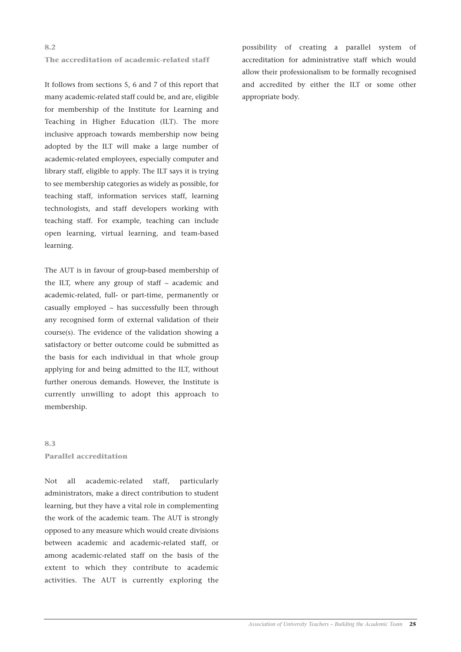#### **The accreditation of academic-related staff**

It follows from sections 5, 6 and 7 of this report that many academic-related staff could be, and are, eligible for membership of the Institute for Learning and Teaching in Higher Education (ILT). The more inclusive approach towards membership now being adopted by the ILT will make a large number of academic-related employees, especially computer and library staff, eligible to apply. The ILT says it is trying to see membership categories as widely as possible, for teaching staff, information services staff, learning technologists, and staff developers working with teaching staff. For example, teaching can include open learning, virtual learning, and team-based learning.

The AUT is in favour of group-based membership of the ILT, where any group of staff – academic and academic-related, full- or part-time, permanently or casually employed – has successfully been through any recognised form of external validation of their course(s). The evidence of the validation showing a satisfactory or better outcome could be submitted as the basis for each individual in that whole group applying for and being admitted to the ILT, without further onerous demands. However, the Institute is currently unwilling to adopt this approach to membership.

#### **8.3 Parallel accreditation**

Not all academic-related staff, particularly administrators, make a direct contribution to student learning, but they have a vital role in complementing the work of the academic team. The AUT is strongly opposed to any measure which would create divisions between academic and academic-related staff, or among academic-related staff on the basis of the extent to which they contribute to academic activities. The AUT is currently exploring the

possibility of creating a parallel system of accreditation for administrative staff which would allow their professionalism to be formally recognised and accredited by either the ILT or some other appropriate body.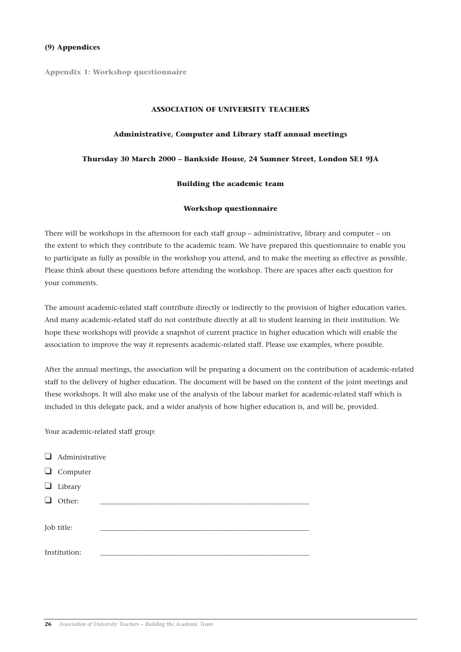**Appendix 1: Workshop questionnaire**

#### **ASSOCIATION OF UNIVERSITY TEACHERS**

#### **Administrative, Computer and Library staff annual meetings**

#### **Thursday 30 March 2000 – Bankside House, 24 Sumner Street, London SE1 9JA**

#### **Building the academic team**

#### **Workshop questionnaire**

There will be workshops in the afternoon for each staff group – administrative, library and computer – on the extent to which they contribute to the academic team. We have prepared this questionnaire to enable you to participate as fully as possible in the workshop you attend, and to make the meeting as effective as possible. Please think about these questions before attending the workshop. There are spaces after each question for your comments.

The amount academic-related staff contribute directly or indirectly to the provision of higher education varies. And many academic-related staff do not contribute directly at all to student learning in their institution. We hope these workshops will provide a snapshot of current practice in higher education which will enable the association to improve the way it represents academic-related staff. Please use examples, where possible.

After the annual meetings, the association will be preparing a document on the contribution of academic-related staff to the delivery of higher education. The document will be based on the content of the joint meetings and these workshops. It will also make use of the analysis of the labour market for academic-related staff which is included in this delegate pack, and a wider analysis of how higher education is, and will be, provided.

Your academic-related staff group:

| $\Box$ | Administrative  |  |
|--------|-----------------|--|
|        | $\Box$ Computer |  |
| ⊔      | Library         |  |
|        | Other:          |  |
|        | Job title:      |  |
|        |                 |  |
|        | Institution:    |  |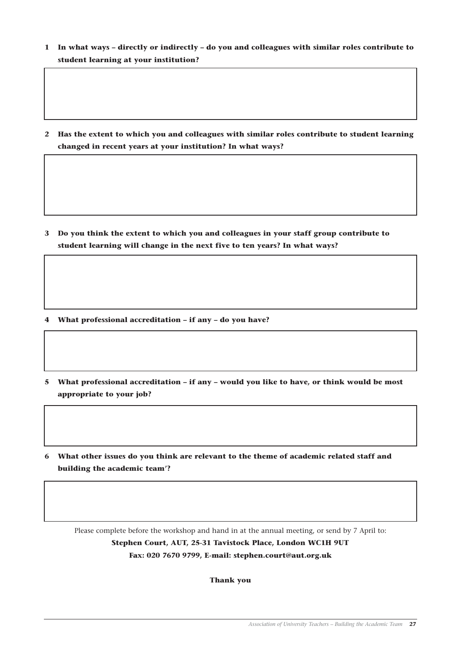**1 In what ways – directly or indirectly – do you and colleagues with similar roles contribute to student learning at your institution?** 

**2 Has the extent to which you and colleagues with similar roles contribute to student learning changed in recent years at your institution? In what ways?**

**3 Do you think the extent to which you and colleagues in your staff group contribute to student learning will change in the next five to ten years? In what ways?**

**4 What professional accreditation – if any – do you have?**

- **5 What professional accreditation if any would you like to have, or think would be most appropriate to your job?**
- **6 What other issues do you think are relevant to the theme of academic related staff and building the academic team'?**

Please complete before the workshop and hand in at the annual meeting, or send by 7 April to: **Stephen Court, AUT, 25-31 Tavistock Place, London WC1H 9UT Fax: 020 7670 9799, E-mail: stephen.court@aut.org.uk**

**Thank you**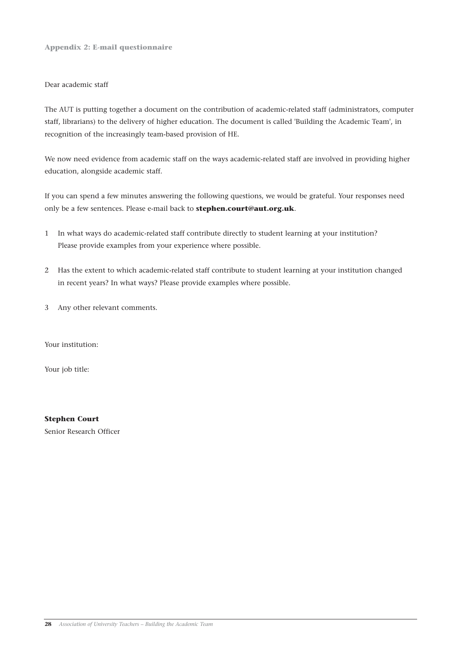**Appendix 2: E-mail questionnaire**

#### Dear academic staff

The AUT is putting together a document on the contribution of academic-related staff (administrators, computer staff, librarians) to the delivery of higher education. The document is called 'Building the Academic Team', in recognition of the increasingly team-based provision of HE.

We now need evidence from academic staff on the ways academic-related staff are involved in providing higher education, alongside academic staff.

If you can spend a few minutes answering the following questions, we would be grateful. Your responses need only be a few sentences. Please e-mail back to **stephen.court@aut.org.uk**.

- 1 In what ways do academic-related staff contribute directly to student learning at your institution? Please provide examples from your experience where possible.
- 2 Has the extent to which academic-related staff contribute to student learning at your institution changed in recent years? In what ways? Please provide examples where possible.
- 3 Any other relevant comments.

Your institution:

Your job title:

**Stephen Court** Senior Research Officer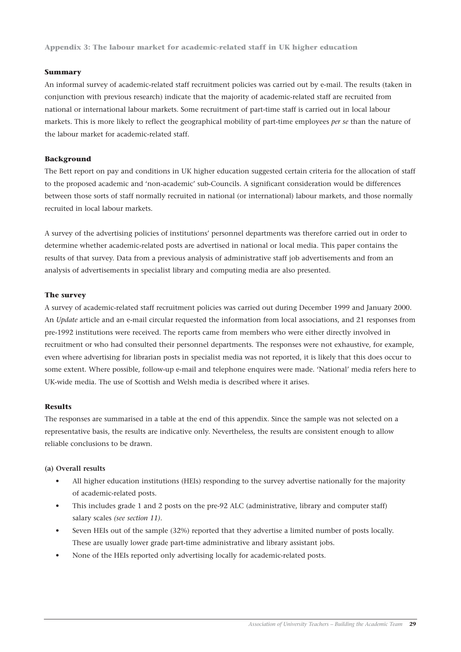**Appendix 3: The labour market for academic-related staff in UK higher education** 

#### **Summary**

An informal survey of academic-related staff recruitment policies was carried out by e-mail. The results (taken in conjunction with previous research) indicate that the majority of academic-related staff are recruited from national or international labour markets. Some recruitment of part-time staff is carried out in local labour markets. This is more likely to reflect the geographical mobility of part-time employees *per se* than the nature of the labour market for academic-related staff.

#### **Background**

The Bett report on pay and conditions in UK higher education suggested certain criteria for the allocation of staff to the proposed academic and 'non-academic' sub-Councils. A significant consideration would be differences between those sorts of staff normally recruited in national (or international) labour markets, and those normally recruited in local labour markets.

A survey of the advertising policies of institutions' personnel departments was therefore carried out in order to determine whether academic-related posts are advertised in national or local media. This paper contains the results of that survey. Data from a previous analysis of administrative staff job advertisements and from an analysis of advertisements in specialist library and computing media are also presented.

#### **The survey**

A survey of academic-related staff recruitment policies was carried out during December 1999 and January 2000. An *Update* article and an e-mail circular requested the information from local associations, and 21 responses from pre-1992 institutions were received. The reports came from members who were either directly involved in recruitment or who had consulted their personnel departments. The responses were not exhaustive, for example, even where advertising for librarian posts in specialist media was not reported, it is likely that this does occur to some extent. Where possible, follow-up e-mail and telephone enquires were made. 'National' media refers here to UK-wide media. The use of Scottish and Welsh media is described where it arises.

#### **Results**

The responses are summarised in a table at the end of this appendix. Since the sample was not selected on a representative basis, the results are indicative only. Nevertheless, the results are consistent enough to allow reliable conclusions to be drawn.

#### **(a) Overall results**

- All higher education institutions (HEIs) responding to the survey advertise nationally for the majority of academic-related posts.
- This includes grade 1 and 2 posts on the pre-92 ALC (administrative, library and computer staff) salary scales *(see section 11)*.
- Seven HEIs out of the sample (32%) reported that they advertise a limited number of posts locally. These are usually lower grade part-time administrative and library assistant jobs.
- None of the HEIs reported only advertising locally for academic-related posts.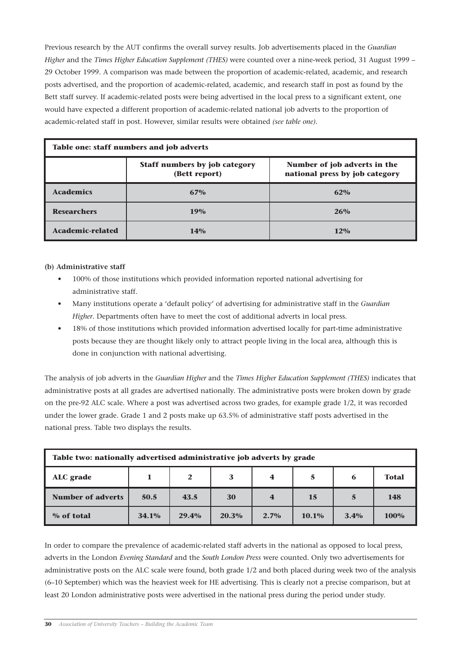Previous research by the AUT confirms the overall survey results. Job advertisements placed in the *Guardian Higher* and the *Times Higher Education Supplement (THES)* were counted over a nine-week period, 31 August 1999 – 29 October 1999. A comparison was made between the proportion of academic-related, academic, and research posts advertised, and the proportion of academic-related, academic, and research staff in post as found by the Bett staff survey. If academic-related posts were being advertised in the local press to a significant extent, one would have expected a different proportion of academic-related national job adverts to the proportion of academic-related staff in post. However, similar results were obtained *(see table one)*.

| Table one: staff numbers and job adverts                                                                                |            |        |  |  |  |  |  |  |
|-------------------------------------------------------------------------------------------------------------------------|------------|--------|--|--|--|--|--|--|
| Number of job adverts in the<br><b>Staff numbers by job category</b><br>national press by job category<br>(Bett report) |            |        |  |  |  |  |  |  |
| <b>Academics</b>                                                                                                        | 67%        | 62%    |  |  |  |  |  |  |
| <b>Researchers</b>                                                                                                      | <b>19%</b> | 26%    |  |  |  |  |  |  |
| <b>Academic-related</b>                                                                                                 | 14%        | $12\%$ |  |  |  |  |  |  |

#### **(b) Administrative staff**

- 100% of those institutions which provided information reported national advertising for administrative staff.
- Many institutions operate a 'default policy' of advertising for administrative staff in the *Guardian Higher*. Departments often have to meet the cost of additional adverts in local press.
- 18% of those institutions which provided information advertised locally for part-time administrative posts because they are thought likely only to attract people living in the local area, although this is done in conjunction with national advertising.

The analysis of job adverts in the *Guardian Higher* and the *Times Higher Education Supplement (THES)* indicates that administrative posts at all grades are advertised nationally. The administrative posts were broken down by grade on the pre-92 ALC scale. Where a post was advertised across two grades, for example grade 1/2, it was recorded under the lower grade. Grade 1 and 2 posts make up 63.5% of administrative staff posts advertised in the national press. Table two displays the results.

| Table two: nationally advertised administrative job adverts by grade            |      |      |    |                |    |   |            |  |  |  |
|---------------------------------------------------------------------------------|------|------|----|----------------|----|---|------------|--|--|--|
| 3<br>5<br>ALC grade<br>2<br><b>Total</b><br>$\overline{\mathbf{4}}$<br>6        |      |      |    |                |    |   |            |  |  |  |
| <b>Number of adverts</b>                                                        | 50.5 | 43.5 | 30 | $\overline{4}$ | 15 | 5 | <b>148</b> |  |  |  |
| 34.1%<br>20.3%<br>% of total<br>$10.1\%$<br>$3.4\%$<br>100%<br>29.4%<br>$2.7\%$ |      |      |    |                |    |   |            |  |  |  |

In order to compare the prevalence of academic-related staff adverts in the national as opposed to local press, adverts in the London *Evening Standard* and the *South London Press* were counted. Only two advertisements for administrative posts on the ALC scale were found, both grade 1/2 and both placed during week two of the analysis (6–10 September) which was the heaviest week for HE advertising. This is clearly not a precise comparison, but at least 20 London administrative posts were advertised in the national press during the period under study.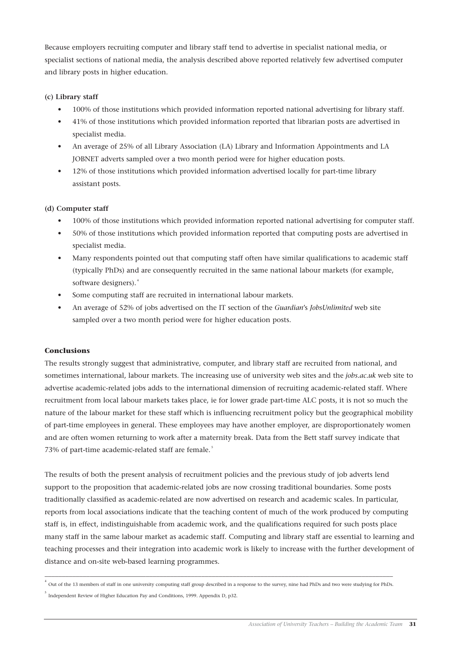Because employers recruiting computer and library staff tend to advertise in specialist national media, or specialist sections of national media, the analysis described above reported relatively few advertised computer and library posts in higher education.

#### **(c) Library staff**

- 100% of those institutions which provided information reported national advertising for library staff.
- 41% of those institutions which provided information reported that librarian posts are advertised in specialist media.
- An average of 25% of all Library Association (LA) Library and Information Appointments and LA JOBNET adverts sampled over a two month period were for higher education posts.
- 12% of those institutions which provided information advertised locally for part-time library assistant posts.

#### **(d) Computer staff**

- 100% of those institutions which provided information reported national advertising for computer staff.
- 50% of those institutions which provided information reported that computing posts are advertised in specialist media.
- Many respondents pointed out that computing staff often have similar qualifications to academic staff (typically PhDs) and are consequently recruited in the same national labour markets (for example, software designers).<sup>4</sup>
- Some computing staff are recruited in international labour markets.
- An average of 52% of jobs advertised on the IT section of the *Guardian*'s *JobsUnlimited* web site sampled over a two month period were for higher education posts.

#### **Conclusions**

The results strongly suggest that administrative, computer, and library staff are recruited from national, and sometimes international, labour markets. The increasing use of university web sites and the *jobs.ac.uk* web site to advertise academic-related jobs adds to the international dimension of recruiting academic-related staff. Where recruitment from local labour markets takes place, ie for lower grade part-time ALC posts, it is not so much the nature of the labour market for these staff which is influencing recruitment policy but the geographical mobility of part-time employees in general. These employees may have another employer, are disproportionately women and are often women returning to work after a maternity break. Data from the Bett staff survey indicate that 73% of part-time academic-related staff are female.<sup>5</sup>

The results of both the present analysis of recruitment policies and the previous study of job adverts lend support to the proposition that academic-related jobs are now crossing traditional boundaries. Some posts traditionally classified as academic-related are now advertised on research and academic scales. In particular, reports from local associations indicate that the teaching content of much of the work produced by computing staff is, in effect, indistinguishable from academic work, and the qualifications required for such posts place many staff in the same labour market as academic staff. Computing and library staff are essential to learning and teaching processes and their integration into academic work is likely to increase with the further development of distance and on-site web-based learning programmes.

\_\_\_\_\_\_\_\_\_\_\_\_\_\_\_\_\_\_\_\_\_\_\_\_\_\_\_\_\_\_\_\_\_\_\_\_\_\_\_\_\_\_\_\_\_\_\_\_\_\_\_\_\_\_\_\_\_\_\_\_\_\_\_\_\_\_\_\_\_\_\_\_\_\_\_\_\_\_\_\_\_\_\_\_\_\_\_\_\_\_\_\_\_\_\_\_\_\_\_\_ 4 Out of the 13 members of staff in one university computing staff group described in a response to the survey, nine had PhDs and two were studying for PhDs.

<sup>5</sup> Independent Review of Higher Education Pay and Conditions, 1999. Appendix D, p32.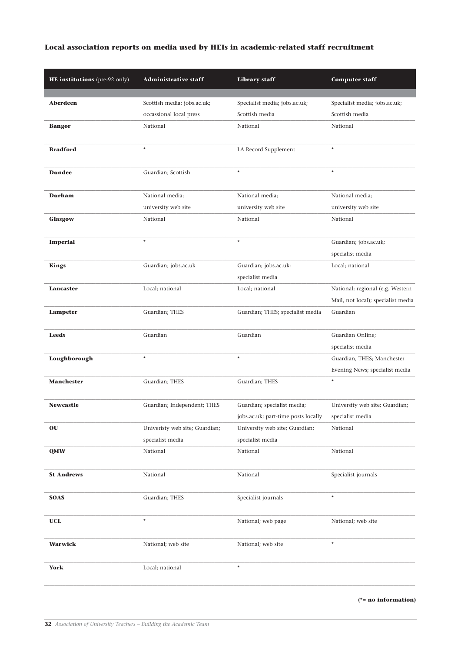#### **Local association reports on media used by HEIs in academic-related staff recruitment**

| HE institutions (pre-92 only) | <b>Administrative staff</b>                            | <b>Library staff</b>                                                                | <b>Computer staff</b>                                        |
|-------------------------------|--------------------------------------------------------|-------------------------------------------------------------------------------------|--------------------------------------------------------------|
|                               |                                                        |                                                                                     |                                                              |
| Aberdeen                      | Scottish media; jobs.ac.uk;<br>occassional local press | Specialist media; jobs.ac.uk;<br>Scottish media                                     | Specialist media; jobs.ac.uk;<br>Scottish media              |
| <b>Bangor</b>                 | National                                               | National                                                                            | National                                                     |
|                               |                                                        |                                                                                     |                                                              |
| <b>Bradford</b>               | $\star$                                                | LA Record Supplement                                                                | $\star$                                                      |
| <b>Dundee</b>                 | Guardian; Scottish                                     | $\star$                                                                             | $\star$                                                      |
| Durham                        | National media;                                        | National media;                                                                     | National media;                                              |
|                               | university web site                                    | university web site                                                                 | university web site                                          |
| Glasgow                       | National                                               | National                                                                            | National                                                     |
| <b>Imperial</b>               | $\star$                                                | $\star$                                                                             | Guardian; jobs.ac.uk;<br>specialist media                    |
| <b>Kings</b>                  | Guardian; jobs.ac.uk                                   | Guardian; jobs.ac.uk;<br>specialist media                                           | Local; national                                              |
| Lancaster                     | Local; national                                        | Local; national                                                                     | National; regional (e.g. Western                             |
|                               |                                                        |                                                                                     | Mail, not local); specialist media                           |
| Lampeter                      | Guardian; THES                                         | Guardian; THES; specialist media                                                    | Guardian                                                     |
| <b>Leeds</b>                  | Guardian                                               | Guardian                                                                            | Guardian Online;<br>specialist media                         |
| Loughborough                  | $\star$                                                | $\star$                                                                             | Guardian, THES; Manchester<br>Evening News; specialist media |
| <b>Manchester</b>             | Guardian; THES                                         | Guardian; THES                                                                      | $\star$                                                      |
| <b>Newcastle</b>              | Guardian; Independent; THES                            | Guardian; specialist media;<br>jobs.ac.uk; part-time posts locally specialist media | University web site; Guardian;                               |
| OU                            | Univeristy web site; Guardian;                         | University web site; Guardian;                                                      | National                                                     |
|                               | specialist media                                       | specialist media                                                                    |                                                              |
| <b>QMW</b>                    | National                                               | National                                                                            | National                                                     |
| <b>St Andrews</b>             | National                                               | National                                                                            | Specialist journals                                          |
| <b>SOAS</b>                   | Guardian; THES                                         | Specialist journals                                                                 | $\star$                                                      |
| <b>UCL</b>                    | $^{\star}$                                             | National; web page                                                                  | National; web site                                           |
| <b>Warwick</b>                | National; web site                                     | National; web site                                                                  | $\star$                                                      |
| York                          | Local; national                                        | $\star$                                                                             |                                                              |

**(\*= no information)**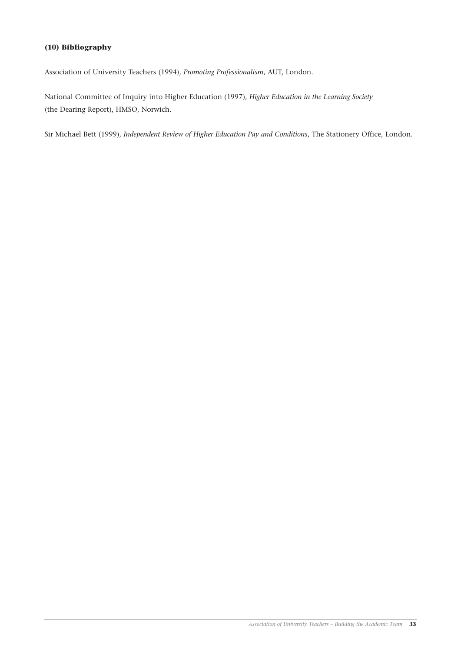#### **(10) Bibliography**

Association of University Teachers (1994), *Promoting Professionalism*, AUT, London.

National Committee of Inquiry into Higher Education (1997), *Higher Education in the Learning Society* (the Dearing Report), HMSO, Norwich.

Sir Michael Bett (1999), *Independent Review of Higher Education Pay and Conditions*, The Stationery Office, London.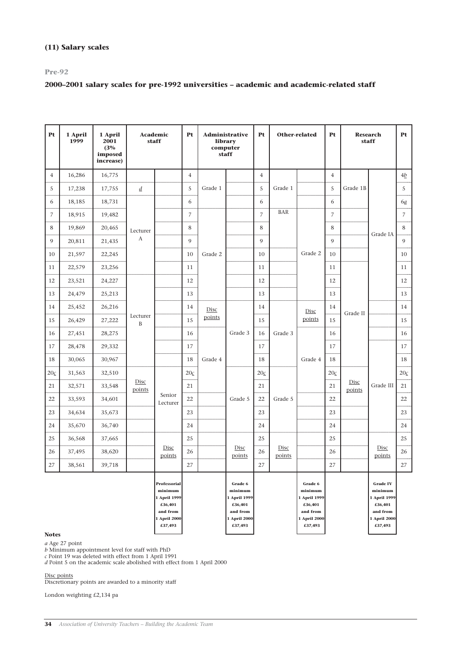#### **(11) Salary scales**

#### **Pre-92**

#### **2000–2001 salary scales for pre-1992 universities – academic and academic-related staff**

| Pt             | 1 April<br>1999 | 1 April<br>2001<br>(3%<br>imposed<br>increase) |                          | Academic<br>staff                                                                                | Pt             | <b>Administrative</b><br>library<br>computer<br>staff |                                                                                      | Pt             |                | Other-related<br>Pt<br><b>Research</b><br>staff                                      |                |          |                                                                                              |                   | <b>Pt</b> |
|----------------|-----------------|------------------------------------------------|--------------------------|--------------------------------------------------------------------------------------------------|----------------|-------------------------------------------------------|--------------------------------------------------------------------------------------|----------------|----------------|--------------------------------------------------------------------------------------|----------------|----------|----------------------------------------------------------------------------------------------|-------------------|-----------|
| $\overline{4}$ | 16,286          | 16,775                                         |                          |                                                                                                  | $\overline{4}$ |                                                       |                                                                                      | $\overline{4}$ |                |                                                                                      | $\overline{4}$ |          |                                                                                              | 4b                |           |
| 5              | 17,238          | 17,755                                         | $\underline{d}$          |                                                                                                  | 5              | Grade 1                                               |                                                                                      | 5              | Grade 1        |                                                                                      | 5              | Grade 1B |                                                                                              | 5                 |           |
| 6              | 18,185          | 18,731                                         |                          |                                                                                                  | 6              |                                                       |                                                                                      | 6              |                |                                                                                      | 6              |          |                                                                                              | 6 <u>а</u>        |           |
| 7              | 18,915          | 19,482                                         |                          |                                                                                                  | $\overline{7}$ |                                                       |                                                                                      | $\overline{7}$ | <b>BAR</b>     |                                                                                      | $\overline{7}$ |          |                                                                                              | $\overline{7}$    |           |
| 8              | 19,869          | 20,465                                         | Lecturer                 |                                                                                                  | 8              |                                                       |                                                                                      | 8              |                |                                                                                      | 8              |          | Grade IA                                                                                     | 8                 |           |
| 9              | 20,811          | 21,435                                         | $\boldsymbol{A}$         |                                                                                                  | 9              |                                                       |                                                                                      | 9              |                |                                                                                      | 9              |          |                                                                                              | 9                 |           |
| 10             | 21,597          | 22,245                                         |                          |                                                                                                  | 10             | Grade 2                                               |                                                                                      | 10             |                | Grade 2                                                                              | 10             |          |                                                                                              | 10                |           |
| 11             | 22,579          | 23,256                                         |                          |                                                                                                  | 11             |                                                       |                                                                                      | 11             |                | 11                                                                                   |                |          | 11                                                                                           |                   |           |
| 12             | 23,521          | 24,227                                         |                          |                                                                                                  | 12             |                                                       |                                                                                      | 12             |                |                                                                                      | 12             |          |                                                                                              |                   | 12        |
| 13             | 24,479          | 25,213                                         |                          |                                                                                                  | 13             |                                                       |                                                                                      | 13             |                |                                                                                      | 13             |          |                                                                                              | 13                |           |
| 14             | 25,452          | 26,216                                         |                          |                                                                                                  | 14             | Disc                                                  |                                                                                      | 14             |                | Disc                                                                                 | 14             |          |                                                                                              | 14                |           |
| 15             | 26,429          | 27,222                                         | Lecturer<br>$\, {\bf B}$ |                                                                                                  | 15             | points                                                |                                                                                      | 15             |                | points                                                                               | 15             |          |                                                                                              | 15                |           |
| 16             | 27,451          | 28,275                                         |                          |                                                                                                  | 16             |                                                       | Grade 3                                                                              | 16             | Grade 3        |                                                                                      | 16             |          |                                                                                              | 16                |           |
| 17             | 28,478          | 29,332                                         |                          |                                                                                                  | 17             |                                                       |                                                                                      | 17             |                |                                                                                      | 17             |          |                                                                                              | 17                |           |
| 18             | 30,065          | 30,967                                         |                          |                                                                                                  | 18             | Grade 4                                               |                                                                                      | 18             |                | Grade 4                                                                              | 18             |          |                                                                                              | 18                |           |
| $20 \leq$      | 31,563          | 32,510                                         |                          |                                                                                                  | $20 \leq$      |                                                       |                                                                                      | $20 \leq$      |                |                                                                                      | 20c            |          |                                                                                              | $20\underline{c}$ |           |
| 21             | 32,571          | 33,548                                         | Disc<br>points           | 21                                                                                               |                |                                                       | 21                                                                                   |                | 21             | Grade II<br>Disc<br>points                                                           | Grade III      | 21       |                                                                                              |                   |           |
| 22             | 33,593          | 34,601                                         |                          | Senior<br>Lecturer                                                                               | 22             |                                                       | Grade 5                                                                              | 22             | Grade 5        |                                                                                      | 22             |          |                                                                                              | 22                |           |
| 23             | 34,634          | 35,673                                         |                          |                                                                                                  | 23             |                                                       |                                                                                      | 23             |                |                                                                                      | 23             |          |                                                                                              | 23                |           |
| 24             | 35,670          | 36,740                                         |                          |                                                                                                  | 24             |                                                       |                                                                                      | 24             |                |                                                                                      | 24             |          |                                                                                              | 24                |           |
| 25             | 36,568          | 37,665                                         |                          |                                                                                                  | 25             |                                                       |                                                                                      | 25             |                |                                                                                      | 25             |          |                                                                                              | 25                |           |
| 26             | 37,495          | 38,620                                         |                          | Disc<br>points                                                                                   | 26             |                                                       | Disc<br>points                                                                       | 26             | Disc<br>points |                                                                                      | 26             |          | Disc<br>points                                                                               | 26                |           |
| 27             | 38,561          | 39,718                                         |                          |                                                                                                  | 27             |                                                       |                                                                                      | 27             |                |                                                                                      | 27             |          |                                                                                              | 27                |           |
| <b>Notes</b>   |                 |                                                |                          | <b>Professorial</b><br>minimum<br>1 April 1999<br>£36,401<br>and from<br>1 April 2000<br>£37,493 |                |                                                       | Grade 6<br>minimum<br>1 April 1999<br>£36,401<br>and from<br>1 April 2000<br>£37,493 |                |                | Grade 6<br>minimum<br>1 April 1999<br>£36,401<br>and from<br>1 April 2000<br>£37,493 |                |          | <b>Grade IV</b><br>minimum<br>1 April 1999<br>£36,401<br>and from<br>1 April 2000<br>£37,493 |                   |           |

#### **Notes**

*a* Age 27 point

*b* Minimum appointment level for staff with PhD

*c* Point 19 was deleted with effect from 1 April 1991

*d* Point 5 on the academic scale abolished with effect from 1 April 2000

Disc points

Discretionary points are awarded to a minority staff

London weighting £2,134 pa